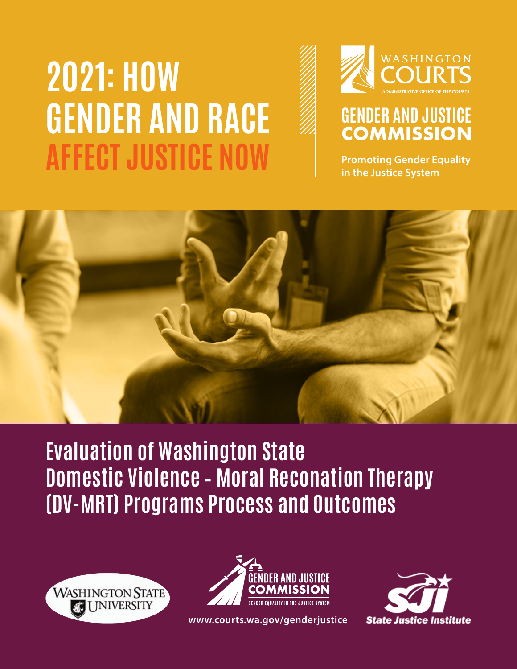# **2021: HOW GENDER AND RACE AFFECT JUSTICE NOW**



# **GENDER AND JUSTICE COMMISSION**

**Promoting Gender Equality in the Justice System**



**Evaluation of Washington State Domestic Violence – Moral Reconation Therapy (DV-MRT) Programs Process and Outcomes**





**<www.courts.wa.gov/genderjustice>**

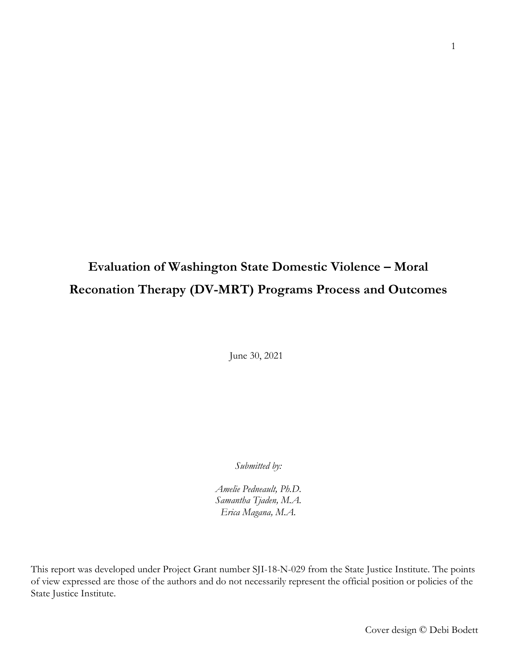# **Evaluation of Washington State Domestic Violence – Moral Reconation Therapy (DV-MRT) Programs Process and Outcomes**

June 30, 2021

*Submitted by:* 

*Amelie Pedneault, Ph.D. Samantha Tjaden, M.A. Erica Magana, M.A.*

This report was developed under Project Grant number SJI-18-N-029 from the State Justice Institute. The points of view expressed are those of the authors and do not necessarily represent the official position or policies of the State Justice Institute.

Cover design © Debi Bodett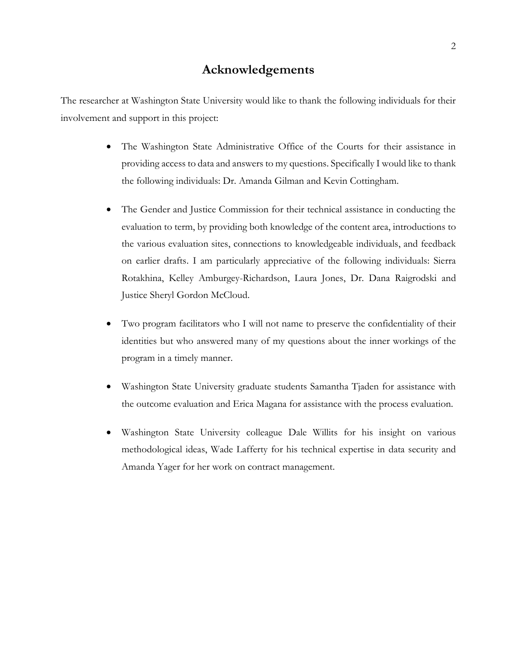# **Acknowledgements**

The researcher at Washington State University would like to thank the following individuals for their involvement and support in this project:

- The Washington State Administrative Office of the Courts for their assistance in providing access to data and answers to my questions. Specifically I would like to thank the following individuals: Dr. Amanda Gilman and Kevin Cottingham.
- The Gender and Justice Commission for their technical assistance in conducting the evaluation to term, by providing both knowledge of the content area, introductions to the various evaluation sites, connections to knowledgeable individuals, and feedback on earlier drafts. I am particularly appreciative of the following individuals: Sierra Rotakhina, Kelley Amburgey-Richardson, Laura Jones, Dr. Dana Raigrodski and Justice Sheryl Gordon McCloud.
- Two program facilitators who I will not name to preserve the confidentiality of their identities but who answered many of my questions about the inner workings of the program in a timely manner.
- Washington State University graduate students Samantha Tjaden for assistance with the outcome evaluation and Erica Magana for assistance with the process evaluation.
- Washington State University colleague Dale Willits for his insight on various methodological ideas, Wade Lafferty for his technical expertise in data security and Amanda Yager for her work on contract management.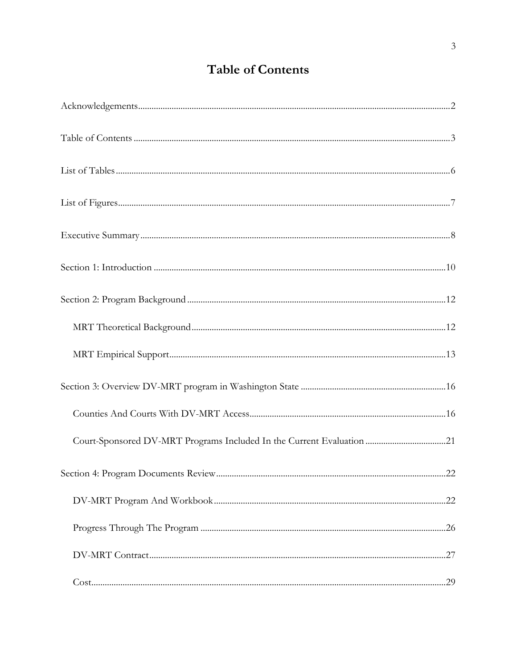# **Table of Contents**

| Court-Sponsored DV-MRT Programs Included In the Current Evaluation 21 |  |
|-----------------------------------------------------------------------|--|
|                                                                       |  |
|                                                                       |  |
|                                                                       |  |
|                                                                       |  |
|                                                                       |  |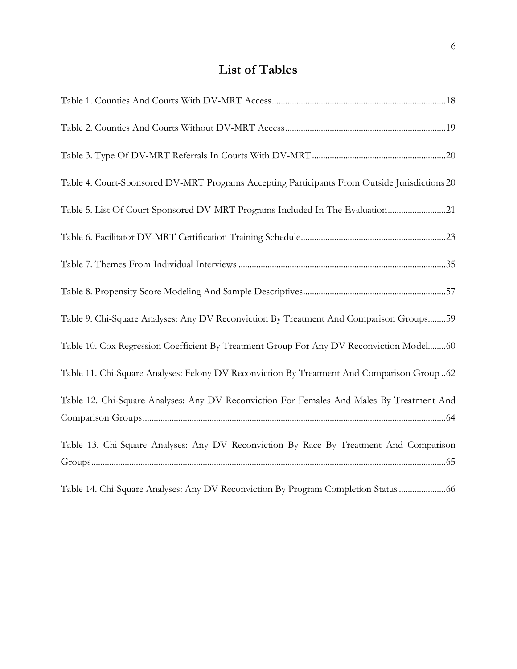# **List of Tables**

| Table 4. Court-Sponsored DV-MRT Programs Accepting Participants From Outside Jurisdictions 20 |
|-----------------------------------------------------------------------------------------------|
| Table 5. List Of Court-Sponsored DV-MRT Programs Included In The Evaluation21                 |
|                                                                                               |
|                                                                                               |
|                                                                                               |
| Table 9. Chi-Square Analyses: Any DV Reconviction By Treatment And Comparison Groups59        |
| Table 10. Cox Regression Coefficient By Treatment Group For Any DV Reconviction Model60       |
| Table 11. Chi-Square Analyses: Felony DV Reconviction By Treatment And Comparison Group 62    |
| Table 12. Chi-Square Analyses: Any DV Reconviction For Females And Males By Treatment And     |
|                                                                                               |
| Table 13. Chi-Square Analyses: Any DV Reconviction By Race By Treatment And Comparison        |
|                                                                                               |
| Table 14. Chi-Square Analyses: Any DV Reconviction By Program Completion Status               |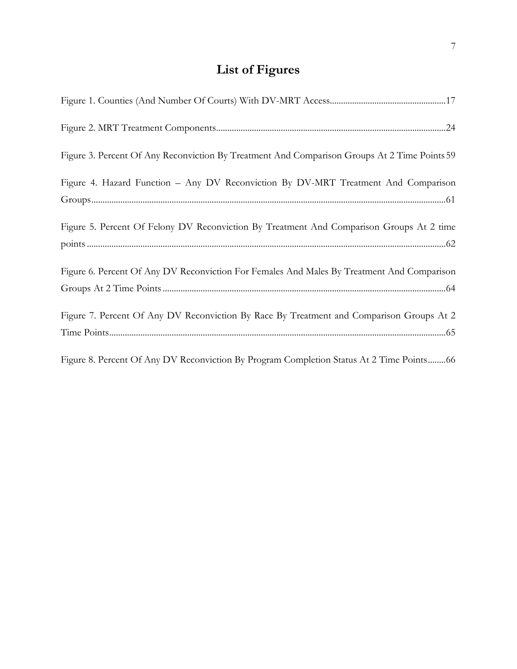# **List of Figures**

| Figure 3. Percent Of Any Reconviction By Treatment And Comparison Groups At 2 Time Points 59 |
|----------------------------------------------------------------------------------------------|
| Figure 4. Hazard Function - Any DV Reconviction By DV-MRT Treatment And Comparison           |
|                                                                                              |
| Figure 5. Percent Of Felony DV Reconviction By Treatment And Comparison Groups At 2 time     |
|                                                                                              |
| Figure 6. Percent Of Any DV Reconviction For Females And Males By Treatment And Comparison   |
|                                                                                              |
| Figure 7. Percent Of Any DV Reconviction By Race By Treatment and Comparison Groups At 2     |
|                                                                                              |
| Figure 8. Percent Of Any DV Reconviction By Program Completion Status At 2 Time Points 66    |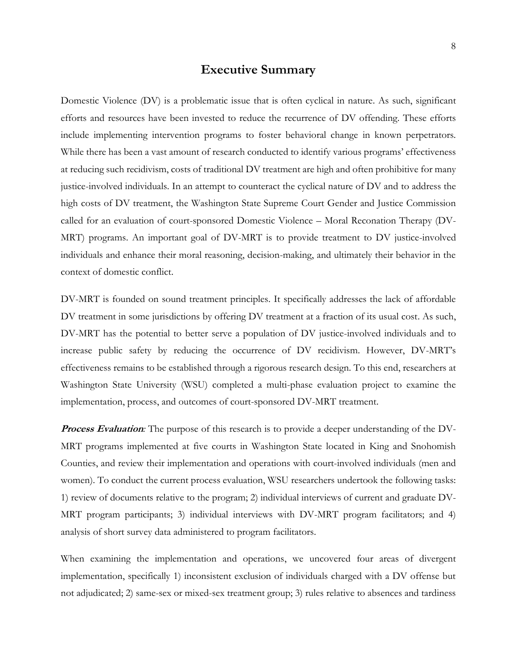# **Executive Summary**

Domestic Violence (DV) is a problematic issue that is often cyclical in nature. As such, significant efforts and resources have been invested to reduce the recurrence of DV offending. These efforts include implementing intervention programs to foster behavioral change in known perpetrators. While there has been a vast amount of research conducted to identify various programs' effectiveness at reducing such recidivism, costs of traditional DV treatment are high and often prohibitive for many justice-involved individuals. In an attempt to counteract the cyclical nature of DV and to address the high costs of DV treatment, the Washington State Supreme Court Gender and Justice Commission called for an evaluation of court-sponsored Domestic Violence – Moral Reconation Therapy (DV-MRT) programs. An important goal of DV-MRT is to provide treatment to DV justice-involved individuals and enhance their moral reasoning, decision-making, and ultimately their behavior in the context of domestic conflict.

DV-MRT is founded on sound treatment principles. It specifically addresses the lack of affordable DV treatment in some jurisdictions by offering DV treatment at a fraction of its usual cost. As such, DV-MRT has the potential to better serve a population of DV justice-involved individuals and to increase public safety by reducing the occurrence of DV recidivism. However, DV-MRT's effectiveness remains to be established through a rigorous research design. To this end, researchers at Washington State University (WSU) completed a multi-phase evaluation project to examine the implementation, process, and outcomes of court-sponsored DV-MRT treatment.

**Process Evaluation**: The purpose of this research is to provide a deeper understanding of the DV-MRT programs implemented at five courts in Washington State located in King and Snohomish Counties, and review their implementation and operations with court-involved individuals (men and women). To conduct the current process evaluation, WSU researchers undertook the following tasks: 1) review of documents relative to the program; 2) individual interviews of current and graduate DV-MRT program participants; 3) individual interviews with DV-MRT program facilitators; and 4) analysis of short survey data administered to program facilitators.

When examining the implementation and operations, we uncovered four areas of divergent implementation, specifically 1) inconsistent exclusion of individuals charged with a DV offense but not adjudicated; 2) same-sex or mixed-sex treatment group; 3) rules relative to absences and tardiness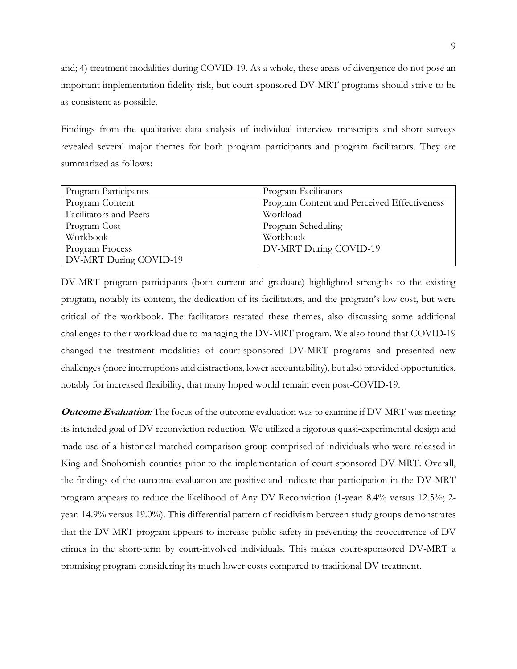and; 4) treatment modalities during COVID-19. As a whole, these areas of divergence do not pose an important implementation fidelity risk, but court-sponsored DV-MRT programs should strive to be as consistent as possible.

Findings from the qualitative data analysis of individual interview transcripts and short surveys revealed several major themes for both program participants and program facilitators. They are summarized as follows:

| Program Participants   | Program Facilitators                        |
|------------------------|---------------------------------------------|
| Program Content        | Program Content and Perceived Effectiveness |
| Facilitators and Peers | Workload                                    |
| Program Cost           | Program Scheduling                          |
| Workbook               | Workbook                                    |
| Program Process        | DV-MRT During COVID-19                      |
| DV-MRT During COVID-19 |                                             |

DV-MRT program participants (both current and graduate) highlighted strengths to the existing program, notably its content, the dedication of its facilitators, and the program's low cost, but were critical of the workbook. The facilitators restated these themes, also discussing some additional challenges to their workload due to managing the DV-MRT program. We also found that COVID-19 changed the treatment modalities of court-sponsored DV-MRT programs and presented new challenges (more interruptions and distractions, lower accountability), but also provided opportunities, notably for increased flexibility, that many hoped would remain even post-COVID-19.

**Outcome Evaluation***:* The focus of the outcome evaluation was to examine if DV-MRT was meeting its intended goal of DV reconviction reduction. We utilized a rigorous quasi-experimental design and made use of a historical matched comparison group comprised of individuals who were released in King and Snohomish counties prior to the implementation of court-sponsored DV-MRT. Overall, the findings of the outcome evaluation are positive and indicate that participation in the DV-MRT program appears to reduce the likelihood of Any DV Reconviction (1-year: 8.4% versus 12.5%; 2 year: 14.9% versus 19.0%). This differential pattern of recidivism between study groups demonstrates that the DV-MRT program appears to increase public safety in preventing the reoccurrence of DV crimes in the short-term by court-involved individuals. This makes court-sponsored DV-MRT a promising program considering its much lower costs compared to traditional DV treatment.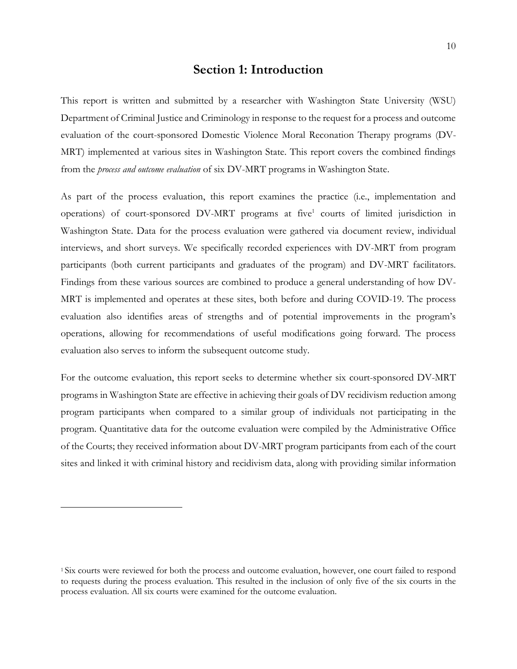## **Section 1: Introduction**

This report is written and submitted by a researcher with Washington State University (WSU) Department of Criminal Justice and Criminology in response to the request for a process and outcome evaluation of the court-sponsored Domestic Violence Moral Reconation Therapy programs (DV-MRT) implemented at various sites in Washington State. This report covers the combined findings from the *process and outcome evaluation* of six DV-MRT programs in Washington State.

As part of the process evaluation, this report examines the practice (i.e., implementation and operations) of court-sponsored DV-MRT programs at five<sup>1</sup> courts of limited jurisdiction in Washington State. Data for the process evaluation were gathered via document review, individual interviews, and short surveys. We specifically recorded experiences with DV-MRT from program participants (both current participants and graduates of the program) and DV-MRT facilitators. Findings from these various sources are combined to produce a general understanding of how DV-MRT is implemented and operates at these sites, both before and during COVID-19. The process evaluation also identifies areas of strengths and of potential improvements in the program's operations, allowing for recommendations of useful modifications going forward. The process evaluation also serves to inform the subsequent outcome study.

For the outcome evaluation, this report seeks to determine whether six court-sponsored DV-MRT programs in Washington State are effective in achieving their goals of DV recidivism reduction among program participants when compared to a similar group of individuals not participating in the program. Quantitative data for the outcome evaluation were compiled by the Administrative Office of the Courts; they received information about DV-MRT program participants from each of the court sites and linked it with criminal history and recidivism data, along with providing similar information

<sup>1</sup> Six courts were reviewed for both the process and outcome evaluation, however, one court failed to respond to requests during the process evaluation. This resulted in the inclusion of only five of the six courts in the process evaluation. All six courts were examined for the outcome evaluation.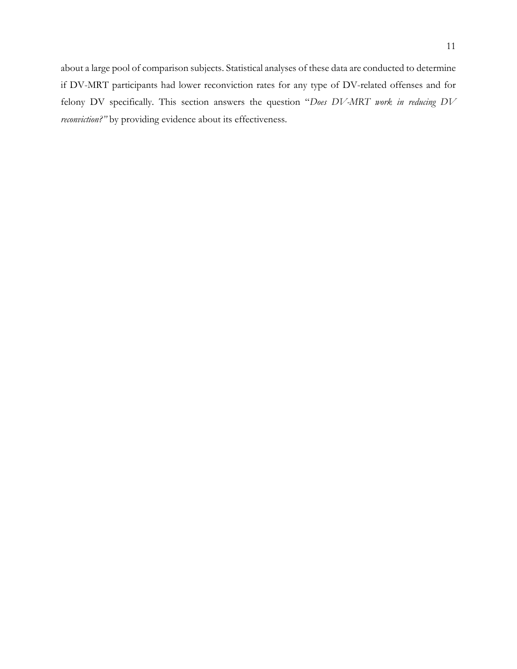about a large pool of comparison subjects. Statistical analyses of these data are conducted to determine if DV-MRT participants had lower reconviction rates for any type of DV-related offenses and for felony DV specifically. This section answers the question "*Does DV-MRT work in reducing DV reconviction?"* by providing evidence about its effectiveness.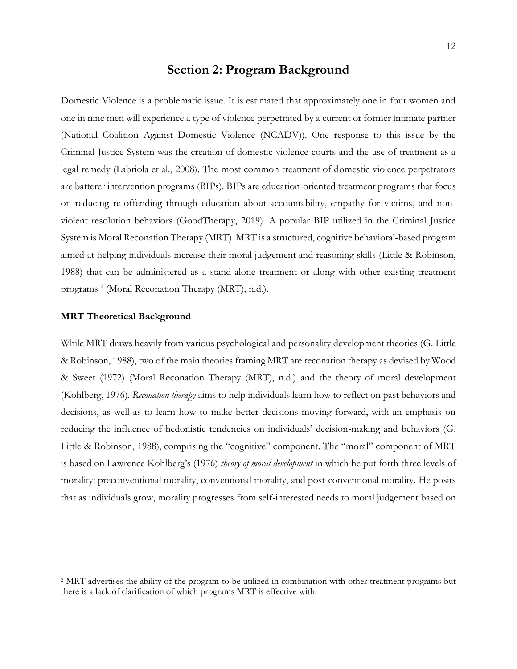# **Section 2: Program Background**

Domestic Violence is a problematic issue. It is estimated that approximately one in four women and one in nine men will experience a type of violence perpetrated by a current or former intimate partner (National Coalition Against Domestic Violence (NCADV)). One response to this issue by the Criminal Justice System was the creation of domestic violence courts and the use of treatment as a legal remedy (Labriola et al., 2008). The most common treatment of domestic violence perpetrators are batterer intervention programs (BIPs). BIPs are education-oriented treatment programs that focus on reducing re-offending through education about accountability, empathy for victims, and nonviolent resolution behaviors (GoodTherapy, 2019). A popular BIP utilized in the Criminal Justice System is Moral Reconation Therapy (MRT). MRT is a structured, cognitive behavioral-based program aimed at helping individuals increase their moral judgement and reasoning skills (Little & Robinson, 1988) that can be administered as a stand-alone treatment or along with other existing treatment programs<sup>2</sup> (Moral Reconation Therapy (MRT), n.d.).

#### **MRT Theoretical Background**

While MRT draws heavily from various psychological and personality development theories (G. Little & Robinson, 1988), two of the main theories framing MRT are reconation therapy as devised by Wood & Sweet (1972) (Moral Reconation Therapy (MRT), n.d.) and the theory of moral development (Kohlberg, 1976). *Reconation therapy* aims to help individuals learn how to reflect on past behaviors and decisions, as well as to learn how to make better decisions moving forward, with an emphasis on reducing the influence of hedonistic tendencies on individuals' decision-making and behaviors (G. Little & Robinson, 1988), comprising the "cognitive" component. The "moral" component of MRT is based on Lawrence Kohlberg's (1976) *theory of moral development* in which he put forth three levels of morality: preconventional morality, conventional morality, and post-conventional morality. He posits that as individuals grow, morality progresses from self-interested needs to moral judgement based on

<sup>2</sup> MRT advertises the ability of the program to be utilized in combination with other treatment programs but there is a lack of clarification of which programs MRT is effective with.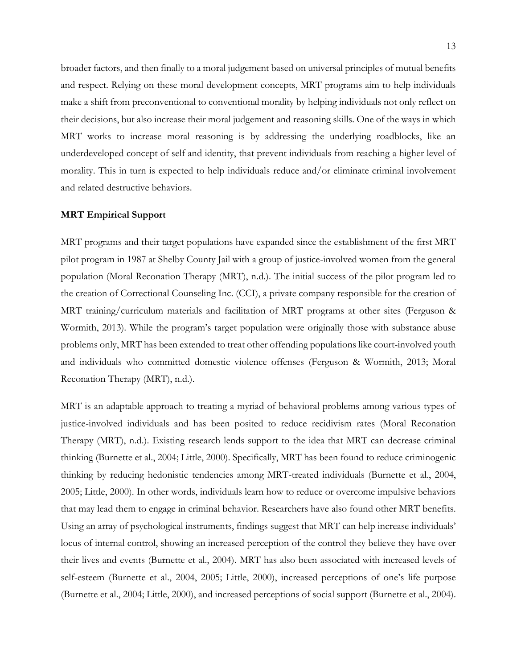broader factors, and then finally to a moral judgement based on universal principles of mutual benefits and respect. Relying on these moral development concepts, MRT programs aim to help individuals make a shift from preconventional to conventional morality by helping individuals not only reflect on their decisions, but also increase their moral judgement and reasoning skills. One of the ways in which MRT works to increase moral reasoning is by addressing the underlying roadblocks, like an underdeveloped concept of self and identity, that prevent individuals from reaching a higher level of morality. This in turn is expected to help individuals reduce and/or eliminate criminal involvement and related destructive behaviors.

#### **MRT Empirical Support**

MRT programs and their target populations have expanded since the establishment of the first MRT pilot program in 1987 at Shelby County Jail with a group of justice-involved women from the general population (Moral Reconation Therapy (MRT), n.d.). The initial success of the pilot program led to the creation of Correctional Counseling Inc. (CCI), a private company responsible for the creation of MRT training/curriculum materials and facilitation of MRT programs at other sites (Ferguson & Wormith, 2013). While the program's target population were originally those with substance abuse problems only, MRT has been extended to treat other offending populations like court-involved youth and individuals who committed domestic violence offenses (Ferguson & Wormith, 2013; Moral Reconation Therapy (MRT), n.d.).

MRT is an adaptable approach to treating a myriad of behavioral problems among various types of justice-involved individuals and has been posited to reduce recidivism rates (Moral Reconation Therapy (MRT), n.d.). Existing research lends support to the idea that MRT can decrease criminal thinking (Burnette et al., 2004; Little, 2000). Specifically, MRT has been found to reduce criminogenic thinking by reducing hedonistic tendencies among MRT-treated individuals (Burnette et al., 2004, 2005; Little, 2000). In other words, individuals learn how to reduce or overcome impulsive behaviors that may lead them to engage in criminal behavior. Researchers have also found other MRT benefits. Using an array of psychological instruments, findings suggest that MRT can help increase individuals' locus of internal control, showing an increased perception of the control they believe they have over their lives and events (Burnette et al., 2004). MRT has also been associated with increased levels of self-esteem (Burnette et al., 2004, 2005; Little, 2000), increased perceptions of one's life purpose (Burnette et al., 2004; Little, 2000), and increased perceptions of social support (Burnette et al., 2004).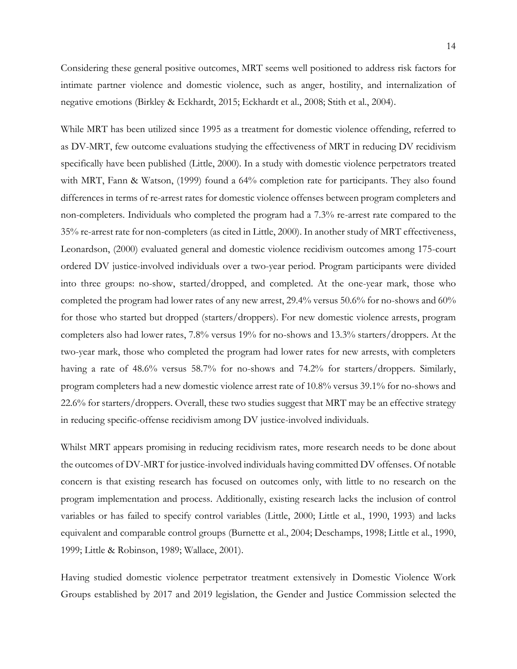Considering these general positive outcomes, MRT seems well positioned to address risk factors for intimate partner violence and domestic violence, such as anger, hostility, and internalization of negative emotions (Birkley & Eckhardt, 2015; Eckhardt et al., 2008; Stith et al., 2004).

While MRT has been utilized since 1995 as a treatment for domestic violence offending, referred to as DV-MRT, few outcome evaluations studying the effectiveness of MRT in reducing DV recidivism specifically have been published (Little, 2000). In a study with domestic violence perpetrators treated with MRT, Fann & Watson, (1999) found a 64% completion rate for participants. They also found differences in terms of re-arrest rates for domestic violence offenses between program completers and non-completers. Individuals who completed the program had a 7.3% re-arrest rate compared to the 35% re-arrest rate for non-completers (as cited in Little, 2000). In another study of MRT effectiveness, Leonardson, (2000) evaluated general and domestic violence recidivism outcomes among 175-court ordered DV justice-involved individuals over a two-year period. Program participants were divided into three groups: no-show, started/dropped, and completed. At the one-year mark, those who completed the program had lower rates of any new arrest, 29.4% versus 50.6% for no-shows and 60% for those who started but dropped (starters/droppers). For new domestic violence arrests, program completers also had lower rates, 7.8% versus 19% for no-shows and 13.3% starters/droppers. At the two-year mark, those who completed the program had lower rates for new arrests, with completers having a rate of 48.6% versus 58.7% for no-shows and 74.2% for starters/droppers. Similarly, program completers had a new domestic violence arrest rate of 10.8% versus 39.1% for no-shows and 22.6% for starters/droppers. Overall, these two studies suggest that MRT may be an effective strategy in reducing specific-offense recidivism among DV justice-involved individuals.

Whilst MRT appears promising in reducing recidivism rates, more research needs to be done about the outcomes of DV-MRT for justice-involved individuals having committed DV offenses. Of notable concern is that existing research has focused on outcomes only, with little to no research on the program implementation and process. Additionally, existing research lacks the inclusion of control variables or has failed to specify control variables (Little, 2000; Little et al., 1990, 1993) and lacks equivalent and comparable control groups (Burnette et al., 2004; Deschamps, 1998; Little et al., 1990, 1999; Little & Robinson, 1989; Wallace, 2001).

Having studied domestic violence perpetrator treatment extensively in Domestic Violence Work Groups established by 2017 and 2019 legislation, the Gender and Justice Commission selected the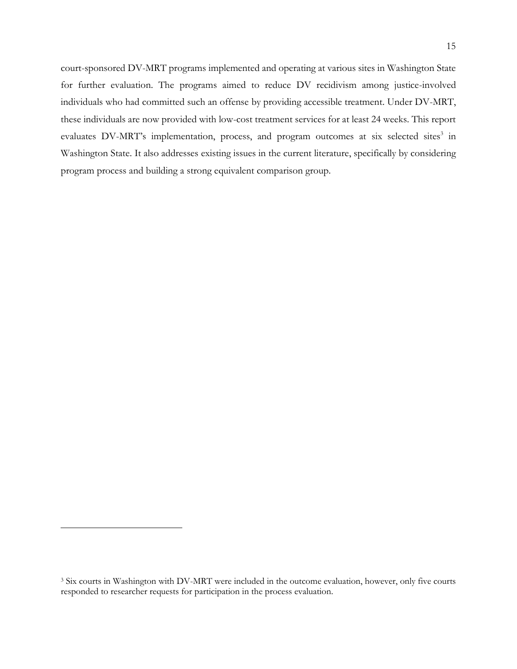court-sponsored DV-MRT programs implemented and operating at various sites in Washington State for further evaluation. The programs aimed to reduce DV recidivism among justice-involved individuals who had committed such an offense by providing accessible treatment. Under DV-MRT, these individuals are now provided with low-cost treatment services for at least 24 weeks. This report evaluates DV-MRT's implementation, process, and program outcomes at six selected sites<sup>3</sup> in Washington State. It also addresses existing issues in the current literature, specifically by considering program process and building a strong equivalent comparison group.

<sup>&</sup>lt;sup>3</sup> Six courts in Washington with DV-MRT were included in the outcome evaluation, however, only five courts responded to researcher requests for participation in the process evaluation.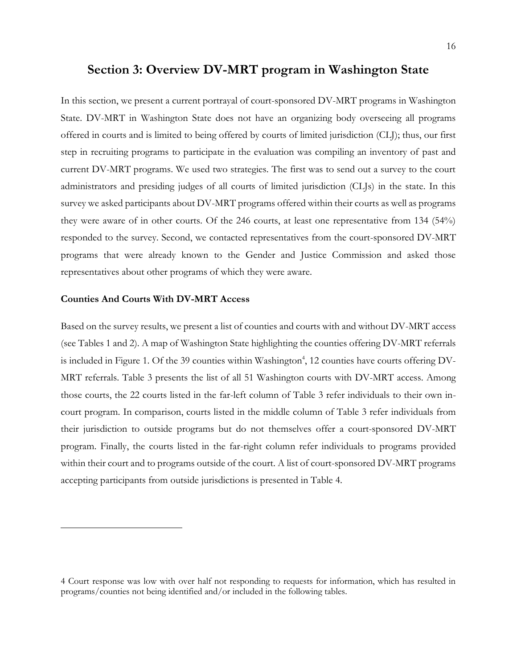# **Section 3: Overview DV-MRT program in Washington State**

In this section, we present a current portrayal of court-sponsored DV-MRT programs in Washington State. DV-MRT in Washington State does not have an organizing body overseeing all programs offered in courts and is limited to being offered by courts of limited jurisdiction (CLJ); thus, our first step in recruiting programs to participate in the evaluation was compiling an inventory of past and current DV-MRT programs. We used two strategies. The first was to send out a survey to the court administrators and presiding judges of all courts of limited jurisdiction (CLJs) in the state. In this survey we asked participants about DV-MRT programs offered within their courts as well as programs they were aware of in other courts. Of the 246 courts, at least one representative from 134 (54%) responded to the survey. Second, we contacted representatives from the court-sponsored DV-MRT programs that were already known to the Gender and Justice Commission and asked those representatives about other programs of which they were aware.

#### **Counties And Courts With DV-MRT Access**

Based on the survey results, we present a list of counties and courts with and without DV-MRT access (see Tables 1 and 2). A map of Washington State highlighting the counties offering DV-MRT referrals is included in Figure 1. Of the 39 counties within Washington<sup>4</sup>, 12 counties have courts offering DV-MRT referrals. Table 3 presents the list of all 51 Washington courts with DV-MRT access. Among those courts, the 22 courts listed in the far-left column of Table 3 refer individuals to their own incourt program. In comparison, courts listed in the middle column of Table 3 refer individuals from their jurisdiction to outside programs but do not themselves offer a court-sponsored DV-MRT program. Finally, the courts listed in the far-right column refer individuals to programs provided within their court and to programs outside of the court. A list of court-sponsored DV-MRT programs accepting participants from outside jurisdictions is presented in Table 4.

<sup>4</sup> Court response was low with over half not responding to requests for information, which has resulted in programs/counties not being identified and/or included in the following tables.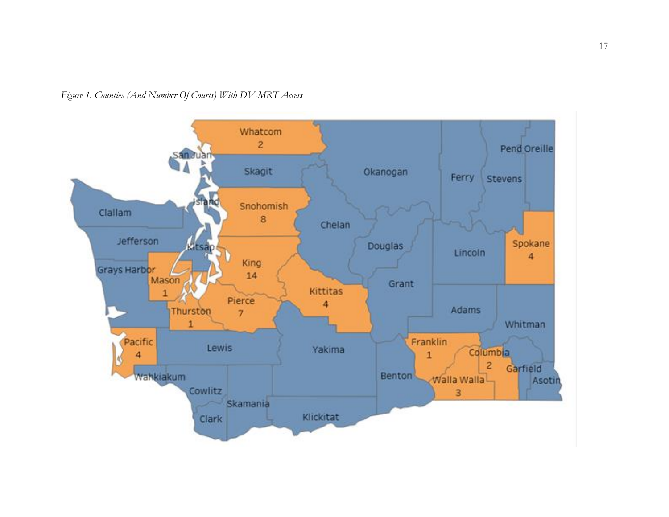*Figure 1. Counties (And Number Of Courts) With DV-MRT Access*

<span id="page-17-0"></span>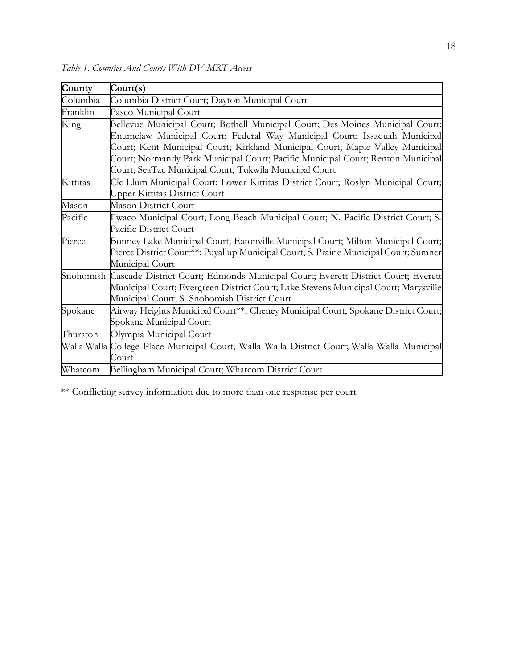| County   | $\text{Court}(s)$                                                                            |  |  |
|----------|----------------------------------------------------------------------------------------------|--|--|
| Columbia | Columbia District Court; Dayton Municipal Court                                              |  |  |
| Franklin | Pasco Municipal Court                                                                        |  |  |
| King     | Bellevue Municipal Court; Bothell Municipal Court; Des Moines Municipal Court;               |  |  |
|          | Enumclaw Municipal Court; Federal Way Municipal Court; Issaquah Municipal                    |  |  |
|          | Court; Kent Municipal Court; Kirkland Municipal Court; Maple Valley Municipal                |  |  |
|          | Court; Normandy Park Municipal Court; Pacific Municipal Court; Renton Municipal              |  |  |
|          | Court; SeaTac Municipal Court; Tukwila Municipal Court                                       |  |  |
| Kittitas | Cle Elum Municipal Court; Lower Kittitas District Court; Roslyn Municipal Court;             |  |  |
|          | Upper Kittitas District Court                                                                |  |  |
| Mason    | <b>Mason District Court</b>                                                                  |  |  |
| Pacific  | Ilwaco Municipal Court; Long Beach Municipal Court; N. Pacific District Court; S.            |  |  |
|          | Pacific District Court                                                                       |  |  |
| Pierce   | Bonney Lake Municipal Court; Eatonville Municipal Court; Milton Municipal Court;             |  |  |
|          | Pierce District Court**; Puyallup Municipal Court; S. Prairie Municipal Court; Sumner        |  |  |
|          | Municipal Court                                                                              |  |  |
|          | Snohomish Cascade District Court; Edmonds Municipal Court; Everett District Court; Everett   |  |  |
|          | Municipal Court; Evergreen District Court; Lake Stevens Municipal Court; Marysville          |  |  |
|          | Municipal Court; S. Snohomish District Court                                                 |  |  |
| Spokane  | Airway Heights Municipal Court**; Cheney Municipal Court; Spokane District Court;            |  |  |
|          | Spokane Municipal Court                                                                      |  |  |
| Thurston | Olympia Municipal Court                                                                      |  |  |
|          | Walla Walla College Place Municipal Court; Walla Walla District Court; Walla Walla Municipal |  |  |
|          | Court                                                                                        |  |  |
| Whatcom  | Bellingham Municipal Court; Whatcom District Court                                           |  |  |

<span id="page-18-0"></span>*Table 1. Counties And Courts With DV-MRT Access*

\*\* Conflicting survey information due to more than one response per court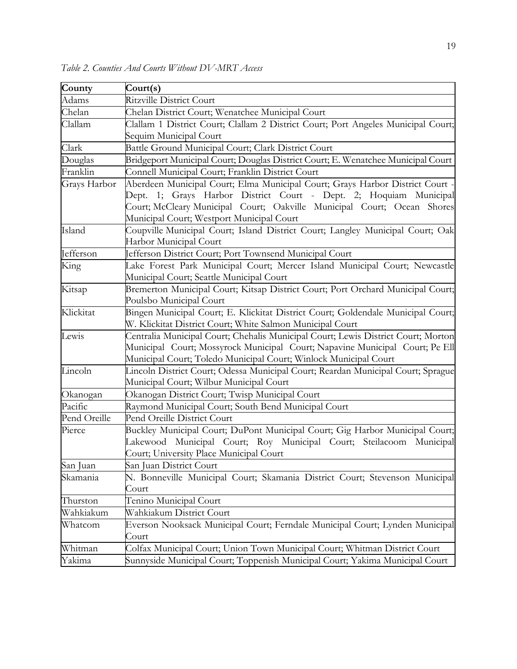| County       | Court(s)                                                                                                                                                                                                                                                                   |
|--------------|----------------------------------------------------------------------------------------------------------------------------------------------------------------------------------------------------------------------------------------------------------------------------|
| Adams        | Ritzville District Court                                                                                                                                                                                                                                                   |
| Chelan       | Chelan District Court; Wenatchee Municipal Court                                                                                                                                                                                                                           |
| Clallam      | Clallam 1 District Court; Clallam 2 District Court; Port Angeles Municipal Court;                                                                                                                                                                                          |
|              | Sequim Municipal Court                                                                                                                                                                                                                                                     |
| Clark        | Battle Ground Municipal Court; Clark District Court                                                                                                                                                                                                                        |
| Douglas      | Bridgeport Municipal Court; Douglas District Court; E. Wenatchee Municipal Court                                                                                                                                                                                           |
| Franklin     | Connell Municipal Court; Franklin District Court                                                                                                                                                                                                                           |
| Grays Harbor | Aberdeen Municipal Court; Elma Municipal Court; Grays Harbor District Court -<br>Dept. 1; Grays Harbor District Court - Dept. 2; Hoquiam Municipal<br>Court; McCleary Municipal Court; Oakville Municipal Court; Ocean Shores<br>Municipal Court; Westport Municipal Court |
| Island       | Coupville Municipal Court; Island District Court; Langley Municipal Court; Oak<br>Harbor Municipal Court                                                                                                                                                                   |
| Jefferson    | Jefferson District Court; Port Townsend Municipal Court                                                                                                                                                                                                                    |
| King         | Lake Forest Park Municipal Court; Mercer Island Municipal Court; Newcastle<br>Municipal Court; Seattle Municipal Court                                                                                                                                                     |
| Kitsap       | Bremerton Municipal Court; Kitsap District Court; Port Orchard Municipal Court;<br>Poulsbo Municipal Court                                                                                                                                                                 |
| Klickitat    | Bingen Municipal Court; E. Klickitat District Court; Goldendale Municipal Court;<br>W. Klickitat District Court; White Salmon Municipal Court                                                                                                                              |
| Lewis        | Centralia Municipal Court; Chehalis Municipal Court; Lewis District Court; Morton<br>Municipal Court; Mossyrock Municipal Court; Napavine Municipal Court; Pe Ell<br>Municipal Court; Toledo Municipal Court; Winlock Municipal Court                                      |
| Lincoln      | Lincoln District Court; Odessa Municipal Court; Reardan Municipal Court; Sprague<br>Municipal Court; Wilbur Municipal Court                                                                                                                                                |
| Okanogan     | Okanogan District Court; Twisp Municipal Court                                                                                                                                                                                                                             |
| Pacific      | Raymond Municipal Court; South Bend Municipal Court                                                                                                                                                                                                                        |
| Pend Oreille | <b>Pend Oreille District Court</b>                                                                                                                                                                                                                                         |
| Pierce       | Buckley Municipal Court; DuPont Municipal Court; Gig Harbor Municipal Court;<br>Lakewood Municipal Court; Roy Municipal Court; Steilacoom Municipal<br>Court; University Place Municipal Court                                                                             |
| San Juan     | San Juan District Court                                                                                                                                                                                                                                                    |
| Skamania     | N. Bonneville Municipal Court; Skamania District Court; Stevenson Municipal<br>Court                                                                                                                                                                                       |
| Thurston     | Tenino Municipal Court                                                                                                                                                                                                                                                     |
| Wahkiakum    | Wahkiakum District Court                                                                                                                                                                                                                                                   |
| Whatcom      | Everson Nooksack Municipal Court; Ferndale Municipal Court; Lynden Municipal<br>Court                                                                                                                                                                                      |
| Whitman      | Colfax Municipal Court; Union Town Municipal Court; Whitman District Court                                                                                                                                                                                                 |
| Yakima       | Sunnyside Municipal Court; Toppenish Municipal Court; Yakima Municipal Court                                                                                                                                                                                               |

<span id="page-19-0"></span>*Table 2. Counties And Courts Without DV-MRT Access*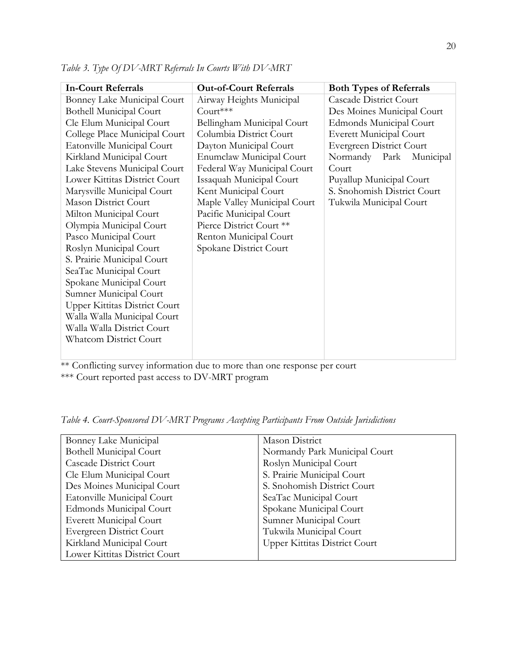| <b>In-Court Referrals</b>            | <b>Out-of-Court Referrals</b> | <b>Both Types of Referrals</b>  |
|--------------------------------------|-------------------------------|---------------------------------|
| Bonney Lake Municipal Court          | Airway Heights Municipal      | <b>Cascade District Court</b>   |
| <b>Bothell Municipal Court</b>       | Court***                      | Des Moines Municipal Court      |
| Cle Elum Municipal Court             | Bellingham Municipal Court    | <b>Edmonds Municipal Court</b>  |
| College Place Municipal Court        | Columbia District Court       | <b>Everett Municipal Court</b>  |
| Eatonville Municipal Court           | Dayton Municipal Court        | <b>Evergreen District Court</b> |
| Kirkland Municipal Court             | Enumclaw Municipal Court      | Normandy Park Municipal         |
| Lake Stevens Municipal Court         | Federal Way Municipal Court   | Court                           |
| Lower Kittitas District Court        | Issaquah Municipal Court      | Puyallup Municipal Court        |
| Marysville Municipal Court           | Kent Municipal Court          | S. Snohomish District Court     |
| <b>Mason District Court</b>          | Maple Valley Municipal Court  | Tukwila Municipal Court         |
| Milton Municipal Court               | Pacific Municipal Court       |                                 |
| Olympia Municipal Court              | Pierce District Court **      |                                 |
| Pasco Municipal Court                | Renton Municipal Court        |                                 |
| Roslyn Municipal Court               | Spokane District Court        |                                 |
| S. Prairie Municipal Court           |                               |                                 |
| SeaTac Municipal Court               |                               |                                 |
| Spokane Municipal Court              |                               |                                 |
| Sumner Municipal Court               |                               |                                 |
| <b>Upper Kittitas District Court</b> |                               |                                 |
| Walla Walla Municipal Court          |                               |                                 |
| Walla Walla District Court           |                               |                                 |
| <b>Whatcom District Court</b>        |                               |                                 |
|                                      |                               |                                 |

<span id="page-20-0"></span>*Table 3. Type Of DV-MRT Referrals In Courts With DV-MRT*

\*\* Conflicting survey information due to more than one response per court \*\*\* Court reported past access to DV-MRT program

<span id="page-20-1"></span>*Table 4. Court-Sponsored DV-MRT Programs Accepting Participants From Outside Jurisdictions*

| Bonney Lake Municipal          | Mason District                       |
|--------------------------------|--------------------------------------|
| <b>Bothell Municipal Court</b> | Normandy Park Municipal Court        |
| <b>Cascade District Court</b>  | Roslyn Municipal Court               |
| Cle Elum Municipal Court       | S. Prairie Municipal Court           |
| Des Moines Municipal Court     | S. Snohomish District Court          |
| Eatonville Municipal Court     | SeaTac Municipal Court               |
| Edmonds Municipal Court        | Spokane Municipal Court              |
| Everett Municipal Court        | Sumner Municipal Court               |
| Evergreen District Court       | Tukwila Municipal Court              |
| Kirkland Municipal Court       | <b>Upper Kittitas District Court</b> |
| Lower Kittitas District Court  |                                      |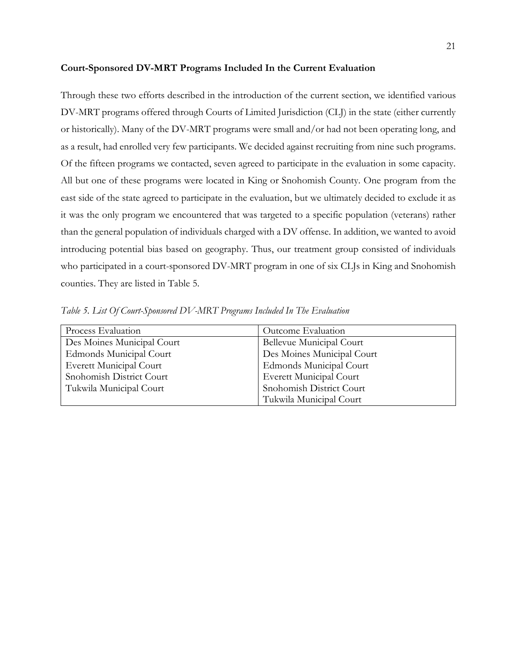#### **Court-Sponsored DV-MRT Programs Included In the Current Evaluation**

Through these two efforts described in the introduction of the current section, we identified various DV-MRT programs offered through Courts of Limited Jurisdiction (CLJ) in the state (either currently or historically). Many of the DV-MRT programs were small and/or had not been operating long, and as a result, had enrolled very few participants. We decided against recruiting from nine such programs. Of the fifteen programs we contacted, seven agreed to participate in the evaluation in some capacity. All but one of these programs were located in King or Snohomish County. One program from the east side of the state agreed to participate in the evaluation, but we ultimately decided to exclude it as it was the only program we encountered that was targeted to a specific population (veterans) rather than the general population of individuals charged with a DV offense. In addition, we wanted to avoid introducing potential bias based on geography. Thus, our treatment group consisted of individuals who participated in a court-sponsored DV-MRT program in one of six CLJs in King and Snohomish counties. They are listed in Table 5.

| Process Evaluation         | Outcome Evaluation         |
|----------------------------|----------------------------|
| Des Moines Municipal Court | Bellevue Municipal Court   |
| Edmonds Municipal Court    | Des Moines Municipal Court |
| Everett Municipal Court    | Edmonds Municipal Court    |
| Snohomish District Court   | Everett Municipal Court    |
| Tukwila Municipal Court    | Snohomish District Court   |
|                            | Tukwila Municipal Court    |

<span id="page-21-0"></span>*Table 5. List Of Court-Sponsored DV-MRT Programs Included In The Evaluation*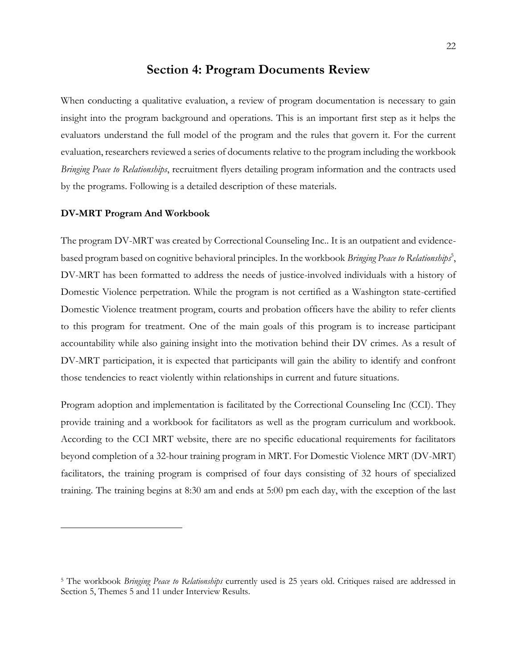## **Section 4: Program Documents Review**

When conducting a qualitative evaluation, a review of program documentation is necessary to gain insight into the program background and operations. This is an important first step as it helps the evaluators understand the full model of the program and the rules that govern it. For the current evaluation, researchers reviewed a series of documents relative to the program including the workbook *Bringing Peace to Relationships*, recruitment flyers detailing program information and the contracts used by the programs. Following is a detailed description of these materials.

#### **DV-MRT Program And Workbook**

The program DV-MRT was created by Correctional Counseling Inc.. It is an outpatient and evidencebased program based on cognitive behavioral principles. In the workbook *Bringing Peace to Relationships<sup>5</sup>*, DV-MRT has been formatted to address the needs of justice-involved individuals with a history of Domestic Violence perpetration. While the program is not certified as a Washington state-certified Domestic Violence treatment program, courts and probation officers have the ability to refer clients to this program for treatment. One of the main goals of this program is to increase participant accountability while also gaining insight into the motivation behind their DV crimes. As a result of DV-MRT participation, it is expected that participants will gain the ability to identify and confront those tendencies to react violently within relationships in current and future situations.

Program adoption and implementation is facilitated by the Correctional Counseling Inc (CCI). They provide training and a workbook for facilitators as well as the program curriculum and workbook. According to the CCI MRT website, there are no specific educational requirements for facilitators beyond completion of a 32-hour training program in MRT. For Domestic Violence MRT (DV-MRT) facilitators, the training program is comprised of four days consisting of 32 hours of specialized training. The training begins at 8:30 am and ends at 5:00 pm each day, with the exception of the last

<sup>5</sup> The workbook *Bringing Peace to Relationships* currently used is 25 years old. Critiques raised are addressed in Section 5, Themes 5 and 11 under Interview Results.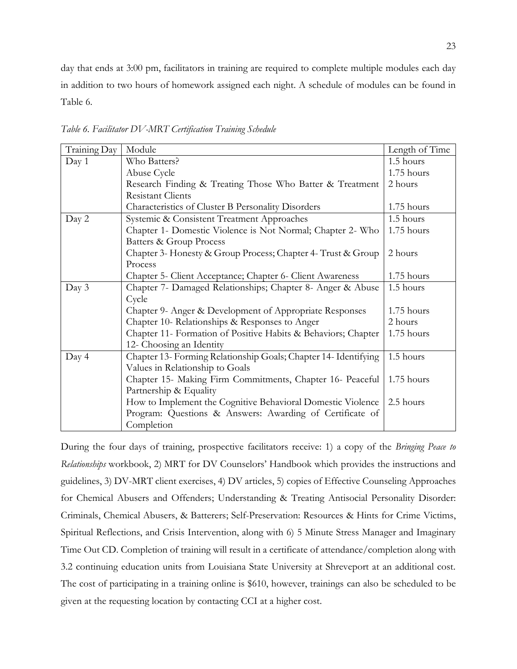day that ends at 3:00 pm, facilitators in training are required to complete multiple modules each day in addition to two hours of homework assigned each night. A schedule of modules can be found in Table 6.

| Training Day | Module                                                          | Length of Time |
|--------------|-----------------------------------------------------------------|----------------|
| Day 1        | Who Batters?                                                    | 1.5 hours      |
|              | Abuse Cycle                                                     | 1.75 hours     |
|              | Research Finding & Treating Those Who Batter & Treatment        | 2 hours        |
|              | <b>Resistant Clients</b>                                        |                |
|              | Characteristics of Cluster B Personality Disorders              | 1.75 hours     |
| Day 2        | Systemic & Consistent Treatment Approaches                      | 1.5 hours      |
|              | Chapter 1- Domestic Violence is Not Normal; Chapter 2- Who      | 1.75 hours     |
|              | <b>Batters &amp; Group Process</b>                              |                |
|              | Chapter 3- Honesty & Group Process; Chapter 4- Trust & Group    | 2 hours        |
|              | Process                                                         |                |
|              | Chapter 5- Client Acceptance; Chapter 6- Client Awareness       | 1.75 hours     |
| Day 3        | Chapter 7- Damaged Relationships; Chapter 8- Anger & Abuse      | 1.5 hours      |
|              | Cycle                                                           |                |
|              | Chapter 9- Anger & Development of Appropriate Responses         | 1.75 hours     |
|              | Chapter 10- Relationships & Responses to Anger                  | 2 hours        |
|              | Chapter 11- Formation of Positive Habits & Behaviors; Chapter   | 1.75 hours     |
|              | 12- Choosing an Identity                                        |                |
| Day 4        | Chapter 13- Forming Relationship Goals; Chapter 14- Identifying | 1.5 hours      |
|              | Values in Relationship to Goals                                 |                |
|              | Chapter 15- Making Firm Commitments, Chapter 16- Peaceful       | 1.75 hours     |
|              | Partnership & Equality                                          |                |
|              | How to Implement the Cognitive Behavioral Domestic Violence     | 2.5 hours      |
|              | Program: Questions & Answers: Awarding of Certificate of        |                |
|              | Completion                                                      |                |

<span id="page-23-0"></span>*Table 6. Facilitator DV-MRT Certification Training Schedule*

During the four days of training, prospective facilitators receive: 1) a copy of the *Bringing Peace to Relationships* workbook, 2) MRT for DV Counselors' Handbook which provides the instructions and guidelines, 3) DV-MRT client exercises, 4) DV articles, 5) copies of Effective Counseling Approaches for Chemical Abusers and Offenders; Understanding & Treating Antisocial Personality Disorder: Criminals, Chemical Abusers, & Batterers; Self-Preservation: Resources & Hints for Crime Victims, Spiritual Reflections, and Crisis Intervention, along with 6) 5 Minute Stress Manager and Imaginary Time Out CD. Completion of training will result in a certificate of attendance/completion along with 3.2 continuing education units from Louisiana State University at Shreveport at an additional cost. The cost of participating in a training online is \$610, however, trainings can also be scheduled to be given at the requesting location by contacting CCI at a higher cost.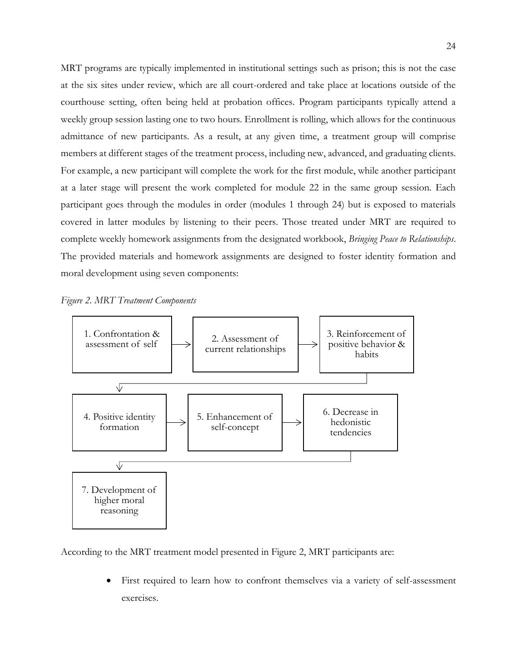MRT programs are typically implemented in institutional settings such as prison; this is not the case at the six sites under review, which are all court-ordered and take place at locations outside of the courthouse setting, often being held at probation offices. Program participants typically attend a weekly group session lasting one to two hours. Enrollment is rolling, which allows for the continuous admittance of new participants. As a result, at any given time, a treatment group will comprise members at different stages of the treatment process, including new, advanced, and graduating clients. For example, a new participant will complete the work for the first module, while another participant at a later stage will present the work completed for module 22 in the same group session. Each participant goes through the modules in order (modules 1 through 24) but is exposed to materials covered in latter modules by listening to their peers. Those treated under MRT are required to complete weekly homework assignments from the designated workbook, *Bringing Peace to Relationships*. The provided materials and homework assignments are designed to foster identity formation and moral development using seven components:

<span id="page-24-0"></span>



According to the MRT treatment model presented in Figure 2, MRT participants are:

First required to learn how to confront themselves via a variety of self-assessment exercises.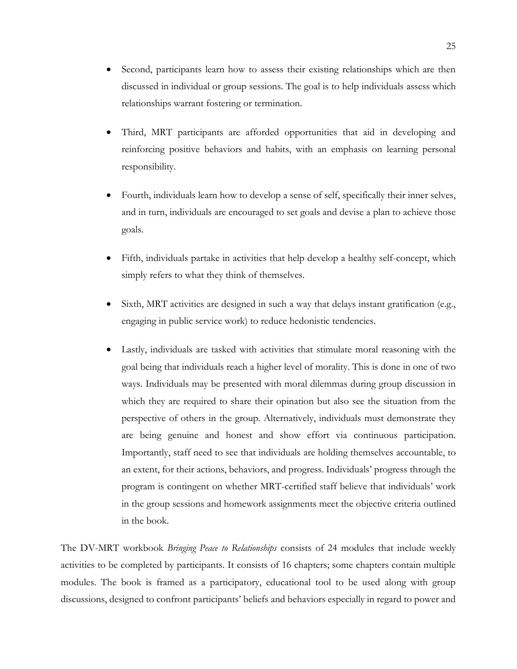- Second, participants learn how to assess their existing relationships which are then discussed in individual or group sessions. The goal is to help individuals assess which relationships warrant fostering or termination.
- Third, MRT participants are afforded opportunities that aid in developing and reinforcing positive behaviors and habits, with an emphasis on learning personal responsibility.
- Fourth, individuals learn how to develop a sense of self, specifically their inner selves, and in turn, individuals are encouraged to set goals and devise a plan to achieve those goals.
- Fifth, individuals partake in activities that help develop a healthy self-concept, which simply refers to what they think of themselves.
- Sixth, MRT activities are designed in such a way that delays instant gratification (e.g., engaging in public service work) to reduce hedonistic tendencies.
- Lastly, individuals are tasked with activities that stimulate moral reasoning with the goal being that individuals reach a higher level of morality. This is done in one of two ways. Individuals may be presented with moral dilemmas during group discussion in which they are required to share their opination but also see the situation from the perspective of others in the group. Alternatively, individuals must demonstrate they are being genuine and honest and show effort via continuous participation. Importantly, staff need to see that individuals are holding themselves accountable, to an extent, for their actions, behaviors, and progress. Individuals' progress through the program is contingent on whether MRT-certified staff believe that individuals' work in the group sessions and homework assignments meet the objective criteria outlined in the book.

The DV-MRT workbook *Bringing Peace to Relationships* consists of 24 modules that include weekly activities to be completed by participants. It consists of 16 chapters; some chapters contain multiple modules. The book is framed as a participatory, educational tool to be used along with group discussions, designed to confront participants' beliefs and behaviors especially in regard to power and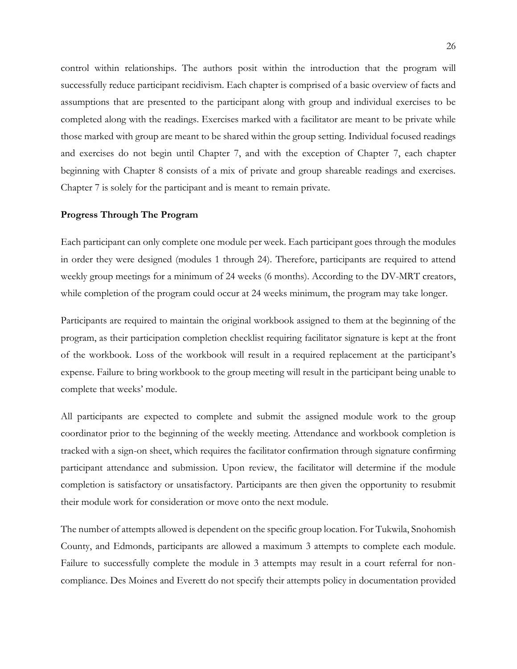control within relationships. The authors posit within the introduction that the program will successfully reduce participant recidivism. Each chapter is comprised of a basic overview of facts and assumptions that are presented to the participant along with group and individual exercises to be completed along with the readings. Exercises marked with a facilitator are meant to be private while those marked with group are meant to be shared within the group setting. Individual focused readings and exercises do not begin until Chapter 7, and with the exception of Chapter 7, each chapter beginning with Chapter 8 consists of a mix of private and group shareable readings and exercises. Chapter 7 is solely for the participant and is meant to remain private.

#### **Progress Through The Program**

Each participant can only complete one module per week. Each participant goes through the modules in order they were designed (modules 1 through 24). Therefore, participants are required to attend weekly group meetings for a minimum of 24 weeks (6 months). According to the DV-MRT creators, while completion of the program could occur at 24 weeks minimum, the program may take longer.

Participants are required to maintain the original workbook assigned to them at the beginning of the program, as their participation completion checklist requiring facilitator signature is kept at the front of the workbook. Loss of the workbook will result in a required replacement at the participant's expense. Failure to bring workbook to the group meeting will result in the participant being unable to complete that weeks' module.

All participants are expected to complete and submit the assigned module work to the group coordinator prior to the beginning of the weekly meeting. Attendance and workbook completion is tracked with a sign-on sheet, which requires the facilitator confirmation through signature confirming participant attendance and submission. Upon review, the facilitator will determine if the module completion is satisfactory or unsatisfactory. Participants are then given the opportunity to resubmit their module work for consideration or move onto the next module.

The number of attempts allowed is dependent on the specific group location. For Tukwila, Snohomish County, and Edmonds, participants are allowed a maximum 3 attempts to complete each module. Failure to successfully complete the module in 3 attempts may result in a court referral for noncompliance. Des Moines and Everett do not specify their attempts policy in documentation provided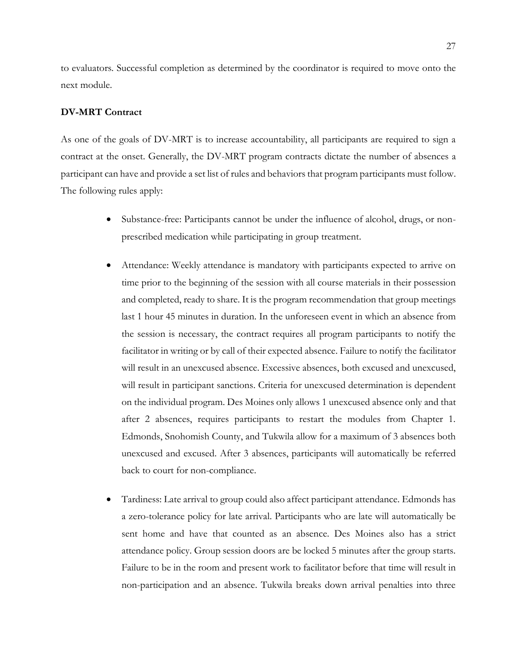to evaluators. Successful completion as determined by the coordinator is required to move onto the next module.

#### **DV-MRT Contract**

As one of the goals of DV-MRT is to increase accountability, all participants are required to sign a contract at the onset. Generally, the DV-MRT program contracts dictate the number of absences a participant can have and provide a set list of rules and behaviors that program participants must follow. The following rules apply:

- Substance-free: Participants cannot be under the influence of alcohol, drugs, or nonprescribed medication while participating in group treatment.
- Attendance: Weekly attendance is mandatory with participants expected to arrive on time prior to the beginning of the session with all course materials in their possession and completed, ready to share. It is the program recommendation that group meetings last 1 hour 45 minutes in duration. In the unforeseen event in which an absence from the session is necessary, the contract requires all program participants to notify the facilitator in writing or by call of their expected absence. Failure to notify the facilitator will result in an unexcused absence. Excessive absences, both excused and unexcused, will result in participant sanctions. Criteria for unexcused determination is dependent on the individual program. Des Moines only allows 1 unexcused absence only and that after 2 absences, requires participants to restart the modules from Chapter 1. Edmonds, Snohomish County, and Tukwila allow for a maximum of 3 absences both unexcused and excused. After 3 absences, participants will automatically be referred back to court for non-compliance.
- Tardiness: Late arrival to group could also affect participant attendance. Edmonds has a zero-tolerance policy for late arrival. Participants who are late will automatically be sent home and have that counted as an absence. Des Moines also has a strict attendance policy. Group session doors are be locked 5 minutes after the group starts. Failure to be in the room and present work to facilitator before that time will result in non-participation and an absence. Tukwila breaks down arrival penalties into three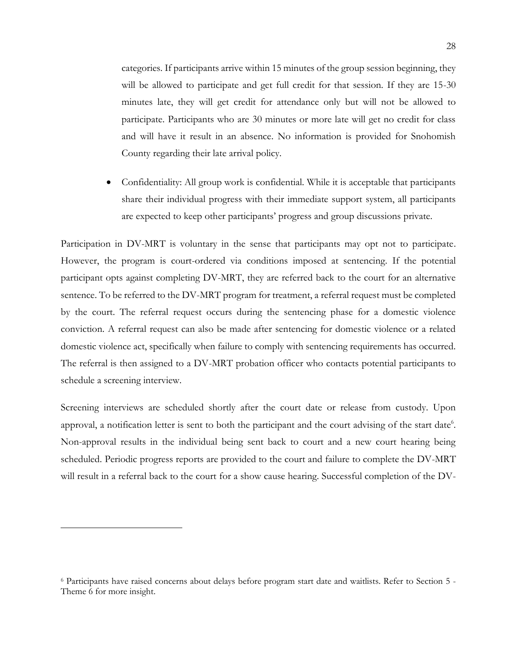categories. If participants arrive within 15 minutes of the group session beginning, they will be allowed to participate and get full credit for that session. If they are 15-30 minutes late, they will get credit for attendance only but will not be allowed to participate. Participants who are 30 minutes or more late will get no credit for class and will have it result in an absence. No information is provided for Snohomish County regarding their late arrival policy.

• Confidentiality: All group work is confidential. While it is acceptable that participants share their individual progress with their immediate support system, all participants are expected to keep other participants' progress and group discussions private.

Participation in DV-MRT is voluntary in the sense that participants may opt not to participate. However, the program is court-ordered via conditions imposed at sentencing. If the potential participant opts against completing DV-MRT, they are referred back to the court for an alternative sentence. To be referred to the DV-MRT program for treatment, a referral request must be completed by the court. The referral request occurs during the sentencing phase for a domestic violence conviction. A referral request can also be made after sentencing for domestic violence or a related domestic violence act, specifically when failure to comply with sentencing requirements has occurred. The referral is then assigned to a DV-MRT probation officer who contacts potential participants to schedule a screening interview.

Screening interviews are scheduled shortly after the court date or release from custody. Upon approval, a notification letter is sent to both the participant and the court advising of the start date<sup>6</sup>. Non-approval results in the individual being sent back to court and a new court hearing being scheduled. Periodic progress reports are provided to the court and failure to complete the DV-MRT will result in a referral back to the court for a show cause hearing. Successful completion of the DV-

<sup>6</sup> Participants have raised concerns about delays before program start date and waitlists. Refer to Section 5 - Theme 6 for more insight.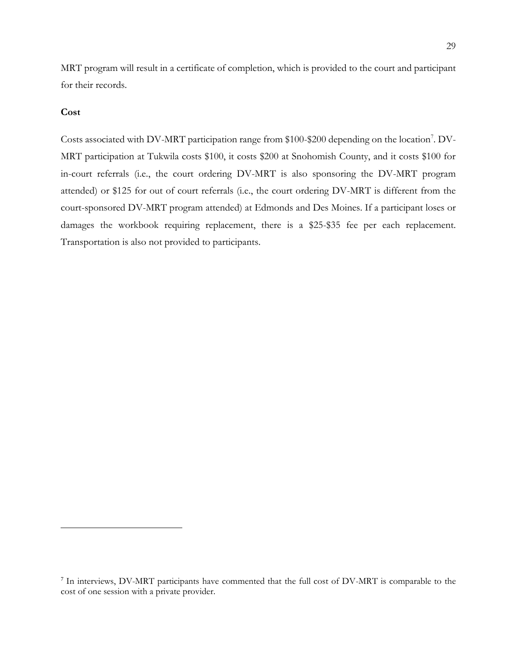MRT program will result in a certificate of completion, which is provided to the court and participant for their records.

### **Cost**

Costs associated with DV-MRT participation range from \$100-\$200 depending on the location<sup>7</sup>. DV-MRT participation at Tukwila costs \$100, it costs \$200 at Snohomish County, and it costs \$100 for in-court referrals (i.e., the court ordering DV-MRT is also sponsoring the DV-MRT program attended) or \$125 for out of court referrals (i.e., the court ordering DV-MRT is different from the court-sponsored DV-MRT program attended) at Edmonds and Des Moines. If a participant loses or damages the workbook requiring replacement, there is a \$25-\$35 fee per each replacement. Transportation is also not provided to participants.

<sup>&</sup>lt;sup>7</sup> In interviews, DV-MRT participants have commented that the full cost of DV-MRT is comparable to the cost of one session with a private provider.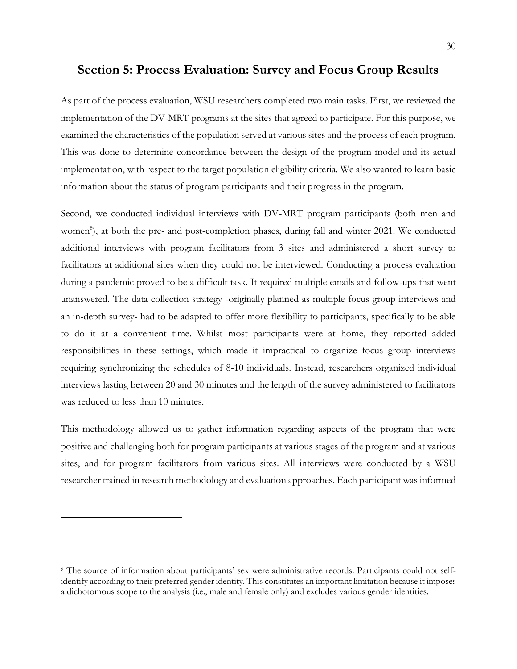# **Section 5: Process Evaluation: Survey and Focus Group Results**

As part of the process evaluation, WSU researchers completed two main tasks. First, we reviewed the implementation of the DV-MRT programs at the sites that agreed to participate. For this purpose, we examined the characteristics of the population served at various sites and the process of each program. This was done to determine concordance between the design of the program model and its actual implementation, with respect to the target population eligibility criteria. We also wanted to learn basic information about the status of program participants and their progress in the program.

Second, we conducted individual interviews with DV-MRT program participants (both men and women<sup>8</sup>), at both the pre- and post-completion phases, during fall and winter 2021. We conducted additional interviews with program facilitators from 3 sites and administered a short survey to facilitators at additional sites when they could not be interviewed. Conducting a process evaluation during a pandemic proved to be a difficult task. It required multiple emails and follow-ups that went unanswered. The data collection strategy -originally planned as multiple focus group interviews and an in-depth survey- had to be adapted to offer more flexibility to participants, specifically to be able to do it at a convenient time. Whilst most participants were at home, they reported added responsibilities in these settings, which made it impractical to organize focus group interviews requiring synchronizing the schedules of 8-10 individuals. Instead, researchers organized individual interviews lasting between 20 and 30 minutes and the length of the survey administered to facilitators was reduced to less than 10 minutes.

This methodology allowed us to gather information regarding aspects of the program that were positive and challenging both for program participants at various stages of the program and at various sites, and for program facilitators from various sites. All interviews were conducted by a WSU researcher trained in research methodology and evaluation approaches. Each participant was informed

<sup>8</sup> The source of information about participants' sex were administrative records. Participants could not selfidentify according to their preferred gender identity. This constitutes an important limitation because it imposes a dichotomous scope to the analysis (i.e., male and female only) and excludes various gender identities.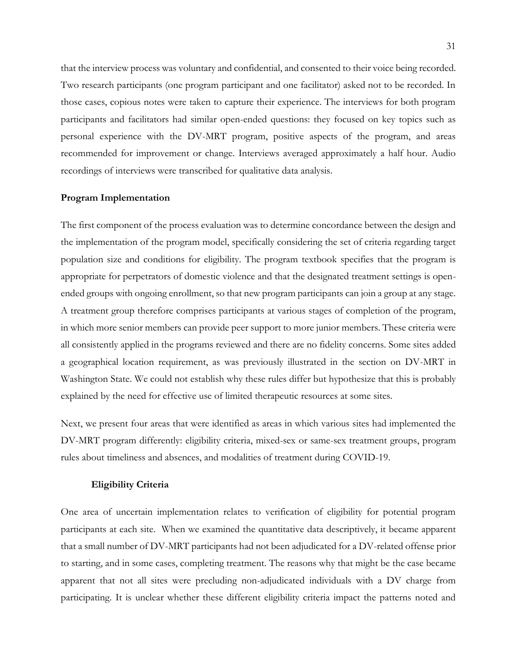that the interview process was voluntary and confidential, and consented to their voice being recorded. Two research participants (one program participant and one facilitator) asked not to be recorded. In those cases, copious notes were taken to capture their experience. The interviews for both program participants and facilitators had similar open-ended questions: they focused on key topics such as personal experience with the DV-MRT program, positive aspects of the program, and areas recommended for improvement or change. Interviews averaged approximately a half hour. Audio recordings of interviews were transcribed for qualitative data analysis.

#### **Program Implementation**

The first component of the process evaluation was to determine concordance between the design and the implementation of the program model, specifically considering the set of criteria regarding target population size and conditions for eligibility. The program textbook specifies that the program is appropriate for perpetrators of domestic violence and that the designated treatment settings is openended groups with ongoing enrollment, so that new program participants can join a group at any stage. A treatment group therefore comprises participants at various stages of completion of the program, in which more senior members can provide peer support to more junior members. These criteria were all consistently applied in the programs reviewed and there are no fidelity concerns. Some sites added a geographical location requirement, as was previously illustrated in the section on DV-MRT in Washington State. We could not establish why these rules differ but hypothesize that this is probably explained by the need for effective use of limited therapeutic resources at some sites.

Next, we present four areas that were identified as areas in which various sites had implemented the DV-MRT program differently: eligibility criteria, mixed-sex or same-sex treatment groups, program rules about timeliness and absences, and modalities of treatment during COVID-19.

#### **Eligibility Criteria**

One area of uncertain implementation relates to verification of eligibility for potential program participants at each site. When we examined the quantitative data descriptively, it became apparent that a small number of DV-MRT participants had not been adjudicated for a DV-related offense prior to starting, and in some cases, completing treatment. The reasons why that might be the case became apparent that not all sites were precluding non-adjudicated individuals with a DV charge from participating. It is unclear whether these different eligibility criteria impact the patterns noted and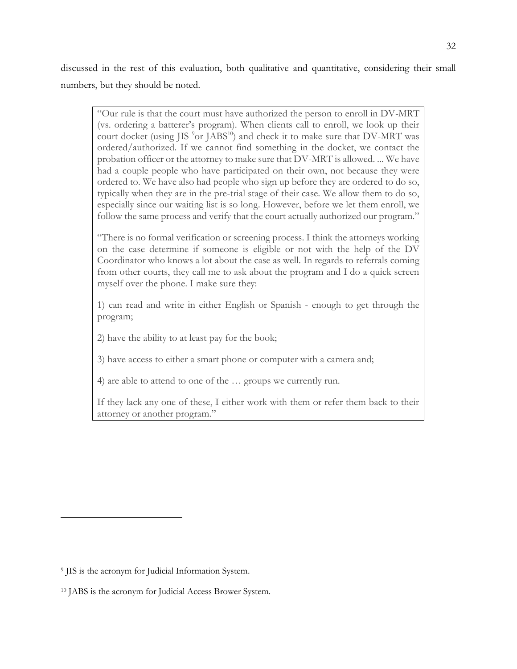discussed in the rest of this evaluation, both qualitative and quantitative, considering their small numbers, but they should be noted.

"Our rule is that the court must have authorized the person to enroll in DV-MRT (vs. ordering a batterer's program). When clients call to enroll, we look up their court docket (using JIS  $9$ or JABS<sup>10</sup>) and check it to make sure that DV-MRT was ordered/authorized. If we cannot find something in the docket, we contact the probation officer or the attorney to make sure that DV-MRT is allowed. ... We have had a couple people who have participated on their own, not because they were ordered to. We have also had people who sign up before they are ordered to do so, typically when they are in the pre-trial stage of their case. We allow them to do so, especially since our waiting list is so long. However, before we let them enroll, we follow the same process and verify that the court actually authorized our program."

"There is no formal verification or screening process. I think the attorneys working on the case determine if someone is eligible or not with the help of the DV Coordinator who knows a lot about the case as well. In regards to referrals coming from other courts, they call me to ask about the program and I do a quick screen myself over the phone. I make sure they:

1) can read and write in either English or Spanish - enough to get through the program;

2) have the ability to at least pay for the book;

3) have access to either a smart phone or computer with a camera and;

4) are able to attend to one of the … groups we currently run.

If they lack any one of these, I either work with them or refer them back to their attorney or another program."

<sup>9</sup> JIS is the acronym for Judicial Information System.

<sup>10</sup> JABS is the acronym for Judicial Access Brower System.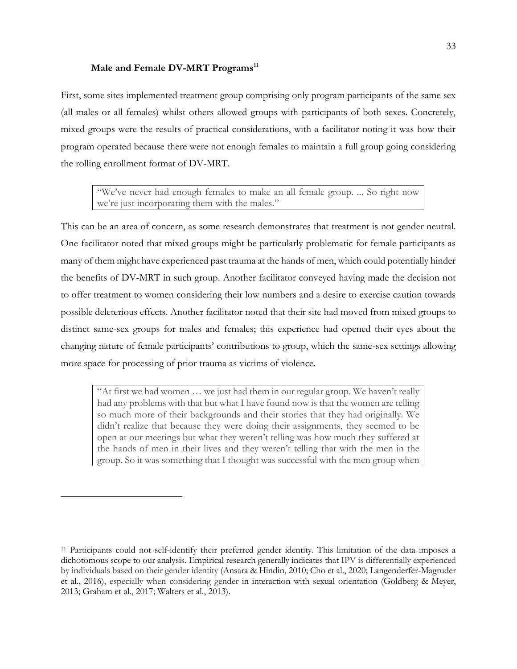#### **Male and Female DV-MRT Programs 11**

First, some sites implemented treatment group comprising only program participants of the same sex (all males or all females) whilst others allowed groups with participants of both sexes. Concretely, mixed groups were the results of practical considerations, with a facilitator noting it was how their program operated because there were not enough females to maintain a full group going considering the rolling enrollment format of DV-MRT.

"We've never had enough females to make an all female group. ... So right now we're just incorporating them with the males."

This can be an area of concern, as some research demonstrates that treatment is not gender neutral. One facilitator noted that mixed groups might be particularly problematic for female participants as many of them might have experienced past trauma at the hands of men, which could potentially hinder the benefits of DV-MRT in such group. Another facilitator conveyed having made the decision not to offer treatment to women considering their low numbers and a desire to exercise caution towards possible deleterious effects. Another facilitator noted that their site had moved from mixed groups to distinct same-sex groups for males and females; this experience had opened their eyes about the changing nature of female participants' contributions to group, which the same-sex settings allowing more space for processing of prior trauma as victims of violence.

"At first we had women … we just had them in our regular group. We haven't really had any problems with that but what I have found now is that the women are telling so much more of their backgrounds and their stories that they had originally. We didn't realize that because they were doing their assignments, they seemed to be open at our meetings but what they weren't telling was how much they suffered at the hands of men in their lives and they weren't telling that with the men in the group. So it was something that I thought was successful with the men group when

<sup>11</sup> Participants could not self-identify their preferred gender identity. This limitation of the data imposes a dichotomous scope to our analysis. Empirical research generally indicates that IPV is differentially experienced by individuals based on their gender identity (Ansara & Hindin, 2010; Cho et al., 2020; Langenderfer-Magruder et al., 2016), especially when considering gender in interaction with sexual orientation (Goldberg & Meyer, 2013; Graham et al., 2017; Walters et al., 2013).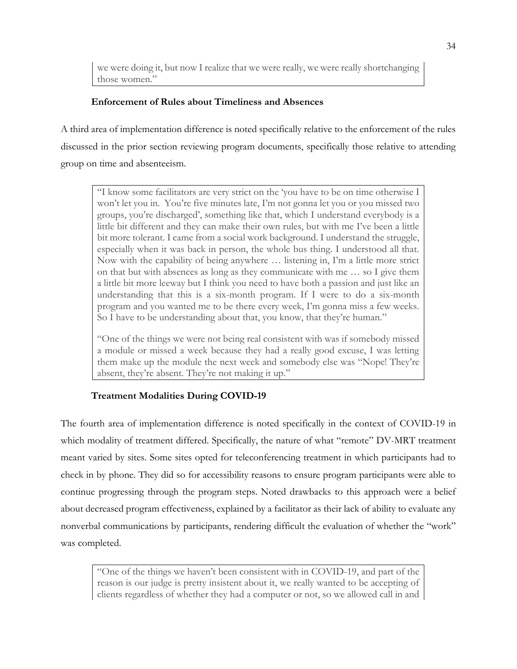we were doing it, but now I realize that we were really, we were really shortchanging those women."

## **Enforcement of Rules about Timeliness and Absences**

A third area of implementation difference is noted specifically relative to the enforcement of the rules discussed in the prior section reviewing program documents, specifically those relative to attending group on time and absenteeism.

"I know some facilitators are very strict on the 'you have to be on time otherwise I won't let you in. You're five minutes late, I'm not gonna let you or you missed two groups, you're discharged', something like that, which I understand everybody is a little bit different and they can make their own rules, but with me I've been a little bit more tolerant. I came from a social work background. I understand the struggle, especially when it was back in person, the whole bus thing. I understood all that. Now with the capability of being anywhere … listening in, I'm a little more strict on that but with absences as long as they communicate with me … so I give them a little bit more leeway but I think you need to have both a passion and just like an understanding that this is a six-month program. If I were to do a six-month program and you wanted me to be there every week, I'm gonna miss a few weeks. So I have to be understanding about that, you know, that they're human."

"One of the things we were not being real consistent with was if somebody missed a module or missed a week because they had a really good excuse, I was letting them make up the module the next week and somebody else was "Nope! They're absent, they're absent. They're not making it up."

## **Treatment Modalities During COVID-19**

The fourth area of implementation difference is noted specifically in the context of COVID-19 in which modality of treatment differed. Specifically, the nature of what "remote" DV-MRT treatment meant varied by sites. Some sites opted for teleconferencing treatment in which participants had to check in by phone. They did so for accessibility reasons to ensure program participants were able to continue progressing through the program steps. Noted drawbacks to this approach were a belief about decreased program effectiveness, explained by a facilitator as their lack of ability to evaluate any nonverbal communications by participants, rendering difficult the evaluation of whether the "work" was completed.

"One of the things we haven't been consistent with in COVID-19, and part of the reason is our judge is pretty insistent about it, we really wanted to be accepting of clients regardless of whether they had a computer or not, so we allowed call in and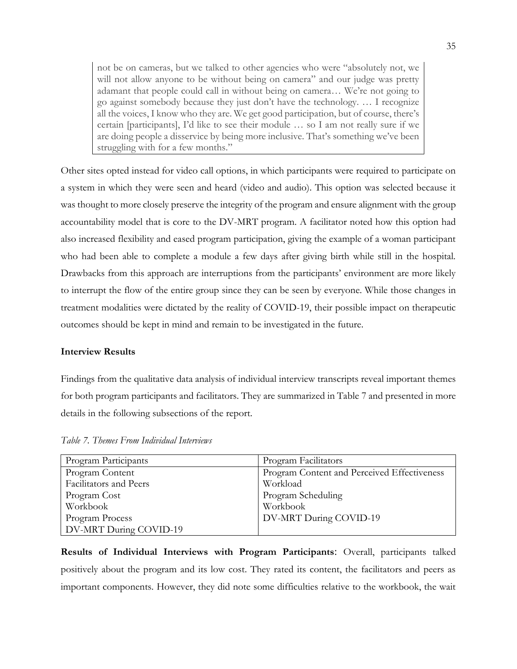not be on cameras, but we talked to other agencies who were "absolutely not, we will not allow anyone to be without being on camera" and our judge was pretty adamant that people could call in without being on camera… We're not going to go against somebody because they just don't have the technology. … I recognize all the voices, I know who they are. We get good participation, but of course, there's certain [participants], I'd like to see their module … so I am not really sure if we are doing people a disservice by being more inclusive. That's something we've been struggling with for a few months."

Other sites opted instead for video call options, in which participants were required to participate on a system in which they were seen and heard (video and audio). This option was selected because it was thought to more closely preserve the integrity of the program and ensure alignment with the group accountability model that is core to the DV-MRT program. A facilitator noted how this option had also increased flexibility and eased program participation, giving the example of a woman participant who had been able to complete a module a few days after giving birth while still in the hospital. Drawbacks from this approach are interruptions from the participants' environment are more likely to interrupt the flow of the entire group since they can be seen by everyone. While those changes in treatment modalities were dictated by the reality of COVID-19, their possible impact on therapeutic outcomes should be kept in mind and remain to be investigated in the future.

#### **Interview Results**

Findings from the qualitative data analysis of individual interview transcripts reveal important themes for both program participants and facilitators. They are summarized in Table 7 and presented in more details in the following subsections of the report.

| Program Participants   | Program Facilitators                        |
|------------------------|---------------------------------------------|
| Program Content        | Program Content and Perceived Effectiveness |
| Facilitators and Peers | Workload                                    |
| Program Cost           | Program Scheduling                          |
| Workbook               | Workbook                                    |
| Program Process        | DV-MRT During COVID-19                      |
| DV-MRT During COVID-19 |                                             |

<span id="page-35-0"></span>*Table 7. Themes From Individual Interviews*

**Results of Individual Interviews with Program Participants**: Overall, participants talked positively about the program and its low cost. They rated its content, the facilitators and peers as important components. However, they did note some difficulties relative to the workbook, the wait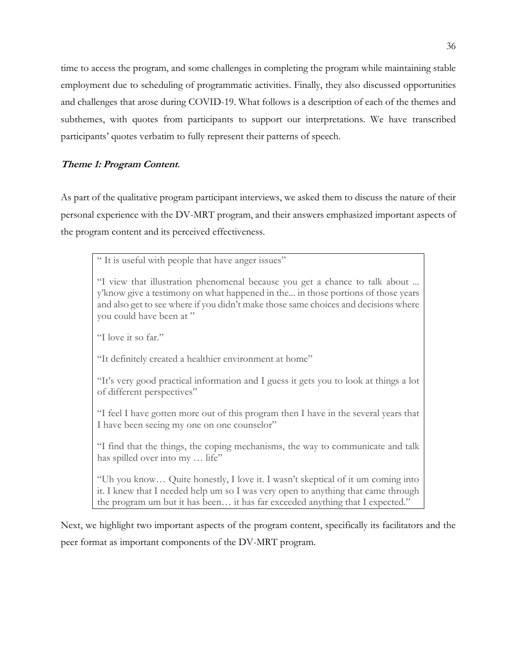time to access the program, and some challenges in completing the program while maintaining stable employment due to scheduling of programmatic activities. Finally, they also discussed opportunities and challenges that arose during COVID-19. What follows is a description of each of the themes and subthemes, with quotes from participants to support our interpretations. We have transcribed participants' quotes verbatim to fully represent their patterns of speech.

## **Theme 1: Program Content**.

As part of the qualitative program participant interviews, we asked them to discuss the nature of their personal experience with the DV-MRT program, and their answers emphasized important aspects of the program content and its perceived effectiveness.

" It is useful with people that have anger issues"

"I view that illustration phenomenal because you get a chance to talk about ... y'know give a testimony on what happened in the... in those portions of those years and also get to see where if you didn't make those same choices and decisions where you could have been at "

"I love it so far."

"It definitely created a healthier environment at home"

"It's very good practical information and I guess it gets you to look at things a lot of different perspectives"

"I feel I have gotten more out of this program then I have in the several years that I have been seeing my one on one counselor"

"I find that the things, the coping mechanisms, the way to communicate and talk has spilled over into my ... life"

"Uh you know… Quite honestly, I love it. I wasn't skeptical of it um coming into it. I knew that I needed help um so I was very open to anything that came through the program um but it has been… it has far exceeded anything that I expected."

Next, we highlight two important aspects of the program content, specifically its facilitators and the peer format as important components of the DV-MRT program.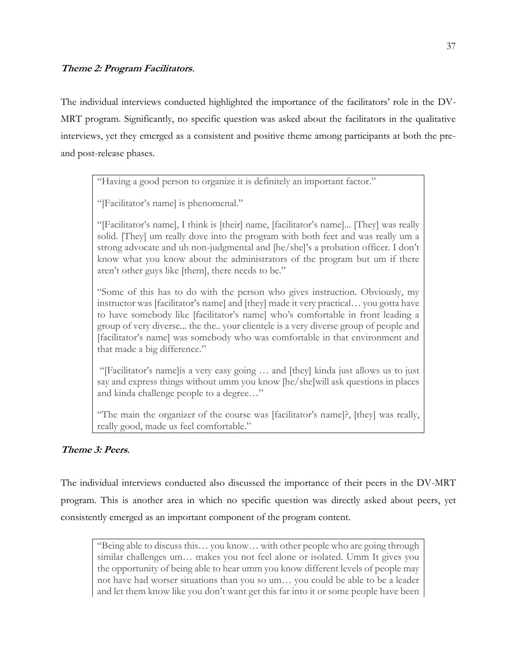## **Theme 2: Program Facilitators**.

The individual interviews conducted highlighted the importance of the facilitators' role in the DV-MRT program. Significantly, no specific question was asked about the facilitators in the qualitative interviews, yet they emerged as a consistent and positive theme among participants at both the preand post-release phases.

"Having a good person to organize it is definitely an important factor."

"[Facilitator's name] is phenomenal."

"[Facilitator's name], I think is [their] name, [facilitator's name]... [They] was really solid. [They] um really dove into the program with both feet and was really um a strong advocate and uh non-judgmental and [he/she]'s a probation officer. I don't know what you know about the administrators of the program but um if there aren't other guys like [them], there needs to be."

"Some of this has to do with the person who gives instruction. Obviously, my instructor was [facilitator's name] and [they] made it very practical… you gotta have to have somebody like [facilitator's name] who's comfortable in front leading a group of very diverse... the the.. your clientele is a very diverse group of people and [facilitator's name] was somebody who was comfortable in that environment and that made a big difference."

"[Facilitator's name]is a very easy going … and [they] kinda just allows us to just say and express things without umm you know [he/she]will ask questions in places and kinda challenge people to a degree…"

"The main the organizer of the course was [facilitator's name]?, [they] was really, really good, made us feel comfortable."

## **Theme 3: Peers**.

The individual interviews conducted also discussed the importance of their peers in the DV-MRT program. This is another area in which no specific question was directly asked about peers, yet consistently emerged as an important component of the program content.

"Being able to discuss this… you know… with other people who are going through similar challenges um… makes you not feel alone or isolated. Umm It gives you the opportunity of being able to hear umm you know different levels of people may not have had worser situations than you so um… you could be able to be a leader and let them know like you don't want get this far into it or some people have been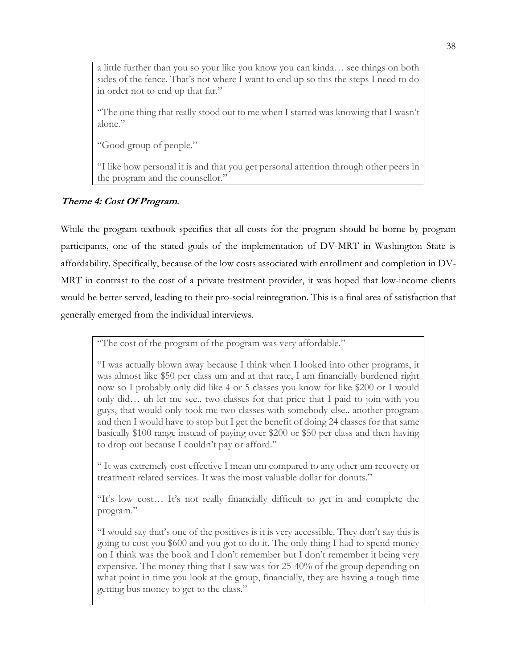a little further than you so your like you know you can kinda… see things on both sides of the fence. That's not where I want to end up so this the steps I need to do in order not to end up that far."

"The one thing that really stood out to me when I started was knowing that I wasn't alone."

"Good group of people."

"I like how personal it is and that you get personal attention through other peers in the program and the counsellor."

## **Theme 4: Cost Of Program**.

While the program textbook specifies that all costs for the program should be borne by program participants, one of the stated goals of the implementation of DV-MRT in Washington State is affordability. Specifically, because of the low costs associated with enrollment and completion in DV-MRT in contrast to the cost of a private treatment provider, it was hoped that low-income clients would be better served, leading to their pro-social reintegration. This is a final area of satisfaction that generally emerged from the individual interviews.

"The cost of the program of the program was very affordable."

"I was actually blown away because I think when I looked into other programs, it was almost like \$50 per class um and at that rate, I am financially burdened right now so I probably only did like 4 or 5 classes you know for like \$200 or I would only did… uh let me see.. two classes for that price that I paid to join with you guys, that would only took me two classes with somebody else.. another program and then I would have to stop but I get the benefit of doing 24 classes for that same basically \$100 range instead of paying over \$200 or \$50 per class and then having to drop out because I couldn't pay or afford."

" It was extremely cost effective I mean um compared to any other um recovery or treatment related services. It was the most valuable dollar for donuts."

"It's low cost… It's not really financially difficult to get in and complete the program."

"I would say that's one of the positives is it is very accessible. They don't say this is going to cost you \$600 and you got to do it. The only thing I had to spend money on I think was the book and I don't remember but I don't remember it being very expensive. The money thing that I saw was for 25-40% of the group depending on what point in time you look at the group, financially, they are having a tough time getting bus money to get to the class."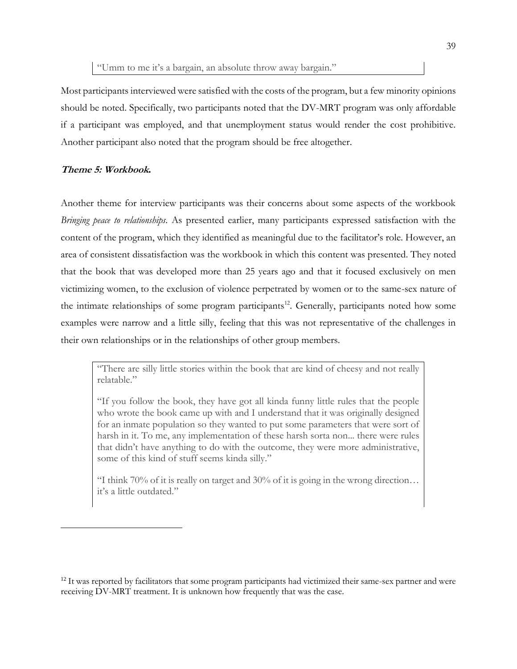Most participants interviewed were satisfied with the costs of the program, but a few minority opinions should be noted. Specifically, two participants noted that the DV-MRT program was only affordable if a participant was employed, and that unemployment status would render the cost prohibitive. Another participant also noted that the program should be free altogether.

### **Theme 5: Workbook.**

Another theme for interview participants was their concerns about some aspects of the workbook *Bringing peace to relationships*. As presented earlier, many participants expressed satisfaction with the content of the program, which they identified as meaningful due to the facilitator's role. However, an area of consistent dissatisfaction was the workbook in which this content was presented. They noted that the book that was developed more than 25 years ago and that it focused exclusively on men victimizing women, to the exclusion of violence perpetrated by women or to the same-sex nature of the intimate relationships of some program participants<sup>12</sup>. Generally, participants noted how some examples were narrow and a little silly, feeling that this was not representative of the challenges in their own relationships or in the relationships of other group members.

"There are silly little stories within the book that are kind of cheesy and not really relatable."

"If you follow the book, they have got all kinda funny little rules that the people who wrote the book came up with and I understand that it was originally designed for an inmate population so they wanted to put some parameters that were sort of harsh in it. To me, any implementation of these harsh sorta non... there were rules that didn't have anything to do with the outcome, they were more administrative, some of this kind of stuff seems kinda silly."

"I think 70% of it is really on target and 30% of it is going in the wrong direction... it's a little outdated."

<sup>&</sup>lt;sup>12</sup> It was reported by facilitators that some program participants had victimized their same-sex partner and were receiving DV-MRT treatment. It is unknown how frequently that was the case.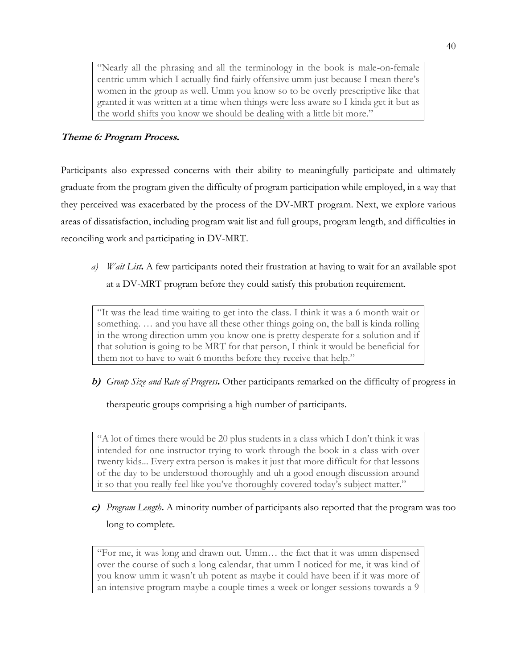"Nearly all the phrasing and all the terminology in the book is male-on-female centric umm which I actually find fairly offensive umm just because I mean there's women in the group as well. Umm you know so to be overly prescriptive like that granted it was written at a time when things were less aware so I kinda get it but as the world shifts you know we should be dealing with a little bit more."

## **Theme 6: Program Process.**

Participants also expressed concerns with their ability to meaningfully participate and ultimately graduate from the program given the difficulty of program participation while employed, in a way that they perceived was exacerbated by the process of the DV-MRT program. Next, we explore various areas of dissatisfaction, including program wait list and full groups, program length, and difficulties in reconciling work and participating in DV-MRT.

*a) Wait List***.** A few participants noted their frustration at having to wait for an available spot at a DV-MRT program before they could satisfy this probation requirement.

"It was the lead time waiting to get into the class. I think it was a 6 month wait or something. … and you have all these other things going on, the ball is kinda rolling in the wrong direction umm you know one is pretty desperate for a solution and if that solution is going to be MRT for that person, I think it would be beneficial for them not to have to wait 6 months before they receive that help."

**b)** *Group Size and Rate of Progress***.** Other participants remarked on the difficulty of progress in

therapeutic groups comprising a high number of participants.

"A lot of times there would be 20 plus students in a class which I don't think it was intended for one instructor trying to work through the book in a class with over twenty kids... Every extra person is makes it just that more difficult for that lessons of the day to be understood thoroughly and uh a good enough discussion around it so that you really feel like you've thoroughly covered today's subject matter."

**c)** *Program Length***.** A minority number of participants also reported that the program was too long to complete.

"For me, it was long and drawn out. Umm… the fact that it was umm dispensed over the course of such a long calendar, that umm I noticed for me, it was kind of you know umm it wasn't uh potent as maybe it could have been if it was more of an intensive program maybe a couple times a week or longer sessions towards a 9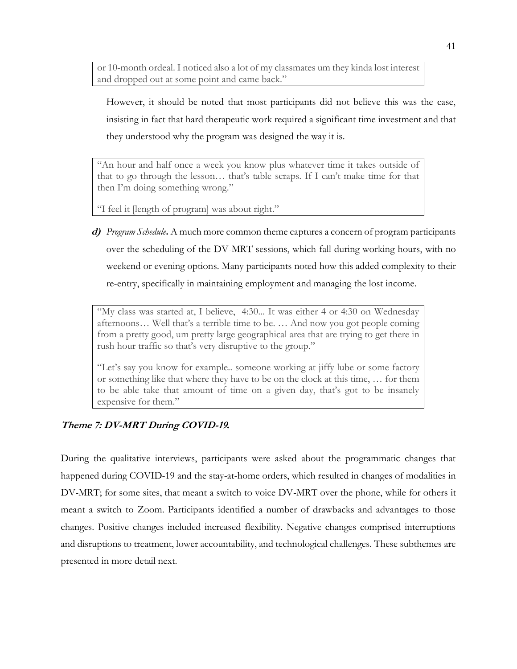or 10-month ordeal. I noticed also a lot of my classmates um they kinda lost interest and dropped out at some point and came back."

However, it should be noted that most participants did not believe this was the case, insisting in fact that hard therapeutic work required a significant time investment and that they understood why the program was designed the way it is.

"An hour and half once a week you know plus whatever time it takes outside of that to go through the lesson… that's table scraps. If I can't make time for that then I'm doing something wrong."

"I feel it [length of program] was about right."

**d)** *Program Schedule***.** A much more common theme captures a concern of program participants over the scheduling of the DV-MRT sessions, which fall during working hours, with no weekend or evening options. Many participants noted how this added complexity to their re-entry, specifically in maintaining employment and managing the lost income.

"My class was started at, I believe, 4:30... It was either 4 or 4:30 on Wednesday afternoons… Well that's a terrible time to be. … And now you got people coming from a pretty good, um pretty large geographical area that are trying to get there in rush hour traffic so that's very disruptive to the group."

"Let's say you know for example.. someone working at jiffy lube or some factory or something like that where they have to be on the clock at this time, … for them to be able take that amount of time on a given day, that's got to be insanely expensive for them."

## **Theme 7: DV-MRT During COVID-19.**

During the qualitative interviews, participants were asked about the programmatic changes that happened during COVID-19 and the stay-at-home orders, which resulted in changes of modalities in DV-MRT; for some sites, that meant a switch to voice DV-MRT over the phone, while for others it meant a switch to Zoom. Participants identified a number of drawbacks and advantages to those changes. Positive changes included increased flexibility. Negative changes comprised interruptions and disruptions to treatment, lower accountability, and technological challenges. These subthemes are presented in more detail next.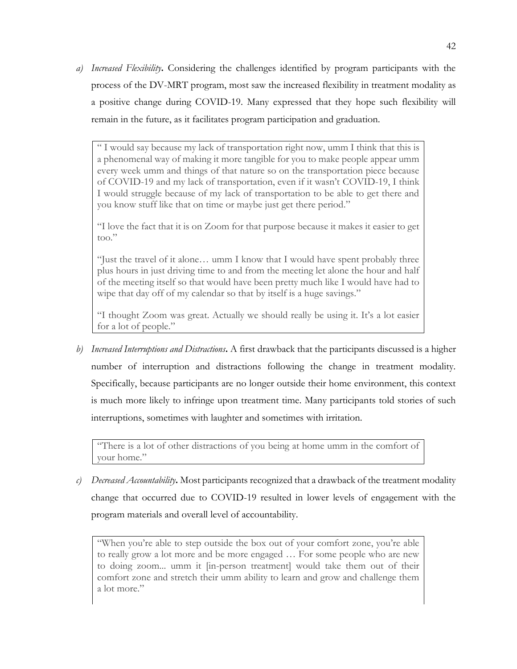*a) Increased Flexibility***.** Considering the challenges identified by program participants with the process of the DV-MRT program, most saw the increased flexibility in treatment modality as a positive change during COVID-19. Many expressed that they hope such flexibility will remain in the future, as it facilitates program participation and graduation.

" I would say because my lack of transportation right now, umm I think that this is a phenomenal way of making it more tangible for you to make people appear umm every week umm and things of that nature so on the transportation piece because of COVID-19 and my lack of transportation, even if it wasn't COVID-19, I think I would struggle because of my lack of transportation to be able to get there and you know stuff like that on time or maybe just get there period."

"I love the fact that it is on Zoom for that purpose because it makes it easier to get too."

"Just the travel of it alone… umm I know that I would have spent probably three plus hours in just driving time to and from the meeting let alone the hour and half of the meeting itself so that would have been pretty much like I would have had to wipe that day off of my calendar so that by itself is a huge savings."

"I thought Zoom was great. Actually we should really be using it. It's a lot easier for a lot of people."

*b) Increased Interruptions and Distractions***.** A first drawback that the participants discussed is a higher number of interruption and distractions following the change in treatment modality. Specifically, because participants are no longer outside their home environment, this context is much more likely to infringe upon treatment time. Many participants told stories of such interruptions, sometimes with laughter and sometimes with irritation.

"There is a lot of other distractions of you being at home umm in the comfort of your home."

*c) Decreased Accountability***.** Most participants recognized that a drawback of the treatment modality change that occurred due to COVID-19 resulted in lower levels of engagement with the program materials and overall level of accountability.

"When you're able to step outside the box out of your comfort zone, you're able to really grow a lot more and be more engaged … For some people who are new to doing zoom... umm it [in-person treatment] would take them out of their comfort zone and stretch their umm ability to learn and grow and challenge them a lot more."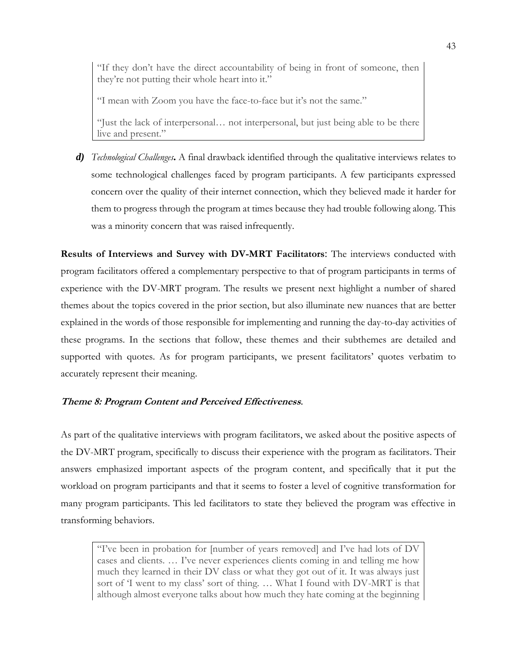"If they don't have the direct accountability of being in front of someone, then they're not putting their whole heart into it."

"I mean with Zoom you have the face-to-face but it's not the same."

"Just the lack of interpersonal… not interpersonal, but just being able to be there live and present."

*d) Technological Challenges***.** A final drawback identified through the qualitative interviews relates to some technological challenges faced by program participants. A few participants expressed concern over the quality of their internet connection, which they believed made it harder for them to progress through the program at times because they had trouble following along. This was a minority concern that was raised infrequently.

**Results of Interviews and Survey with DV-MRT Facilitators**: The interviews conducted with program facilitators offered a complementary perspective to that of program participants in terms of experience with the DV-MRT program. The results we present next highlight a number of shared themes about the topics covered in the prior section, but also illuminate new nuances that are better explained in the words of those responsible for implementing and running the day-to-day activities of these programs. In the sections that follow, these themes and their subthemes are detailed and supported with quotes. As for program participants, we present facilitators' quotes verbatim to accurately represent their meaning.

## **Theme 8: Program Content and Perceived Effectiveness**.

As part of the qualitative interviews with program facilitators, we asked about the positive aspects of the DV-MRT program, specifically to discuss their experience with the program as facilitators. Their answers emphasized important aspects of the program content, and specifically that it put the workload on program participants and that it seems to foster a level of cognitive transformation for many program participants. This led facilitators to state they believed the program was effective in transforming behaviors.

"I've been in probation for [number of years removed] and I've had lots of DV cases and clients. … I've never experiences clients coming in and telling me how much they learned in their DV class or what they got out of it. It was always just sort of 'I went to my class' sort of thing. … What I found with DV-MRT is that although almost everyone talks about how much they hate coming at the beginning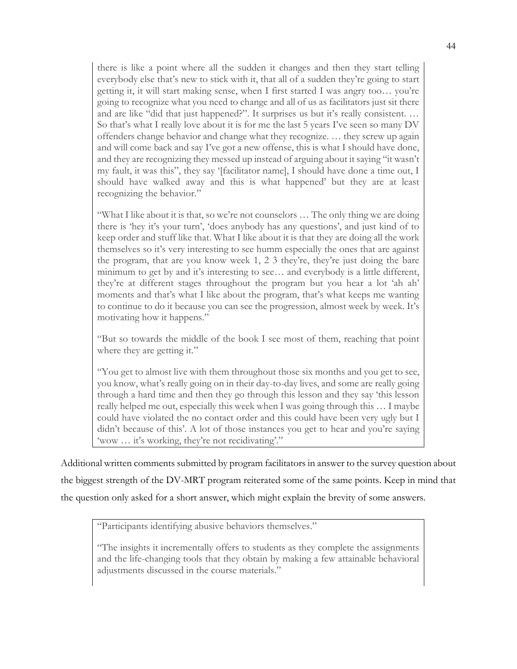there is like a point where all the sudden it changes and then they start telling everybody else that's new to stick with it, that all of a sudden they're going to start getting it, it will start making sense, when I first started I was angry too… you're going to recognize what you need to change and all of us as facilitators just sit there and are like "did that just happened?". It surprises us but it's really consistent. … So that's what I really love about it is for me the last 5 years I've seen so many DV offenders change behavior and change what they recognize. … they screw up again and will come back and say I've got a new offense, this is what I should have done, and they are recognizing they messed up instead of arguing about it saying "it wasn't my fault, it was this", they say '[facilitator name], I should have done a time out, I should have walked away and this is what happened' but they are at least recognizing the behavior."

"What I like about it is that, so we're not counselors … The only thing we are doing there is 'hey it's your turn', 'does anybody has any questions', and just kind of to keep order and stuff like that. What I like about it is that they are doing all the work themselves so it's very interesting to see humm especially the ones that are against the program, that are you know week 1, 2 3 they're, they're just doing the bare minimum to get by and it's interesting to see… and everybody is a little different, they're at different stages throughout the program but you hear a lot 'ah ah' moments and that's what I like about the program, that's what keeps me wanting to continue to do it because you can see the progression, almost week by week. It's motivating how it happens."

"But so towards the middle of the book I see most of them, reaching that point where they are getting it."

"You get to almost live with them throughout those six months and you get to see, you know, what's really going on in their day-to-day lives, and some are really going through a hard time and then they go through this lesson and they say 'this lesson really helped me out, especially this week when I was going through this … I maybe could have violated the no contact order and this could have been very ugly but I didn't because of this'. A lot of those instances you get to hear and you're saying 'wow … it's working, they're not recidivating'."

Additional written comments submitted by program facilitators in answer to the survey question about the biggest strength of the DV-MRT program reiterated some of the same points. Keep in mind that the question only asked for a short answer, which might explain the brevity of some answers.

"Participants identifying abusive behaviors themselves."

"The insights it incrementally offers to students as they complete the assignments and the life-changing tools that they obtain by making a few attainable behavioral adjustments discussed in the course materials."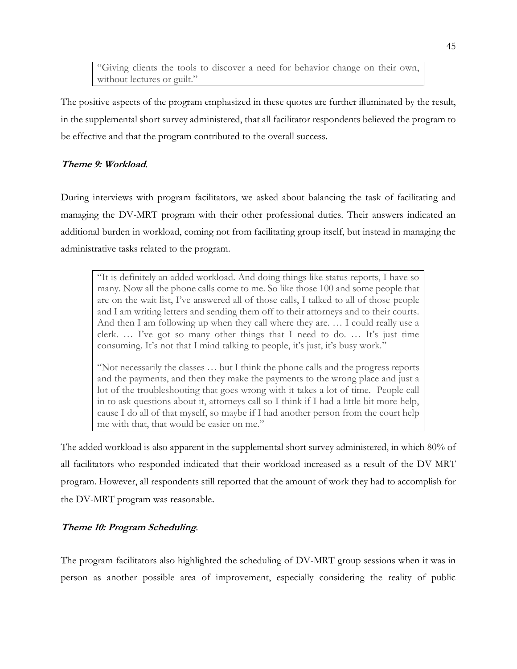"Giving clients the tools to discover a need for behavior change on their own, without lectures or guilt."

The positive aspects of the program emphasized in these quotes are further illuminated by the result, in the supplemental short survey administered, that all facilitator respondents believed the program to be effective and that the program contributed to the overall success.

## **Theme 9: Workload**.

During interviews with program facilitators, we asked about balancing the task of facilitating and managing the DV-MRT program with their other professional duties. Their answers indicated an additional burden in workload, coming not from facilitating group itself, but instead in managing the administrative tasks related to the program.

"It is definitely an added workload. And doing things like status reports, I have so many. Now all the phone calls come to me. So like those 100 and some people that are on the wait list, I've answered all of those calls, I talked to all of those people and I am writing letters and sending them off to their attorneys and to their courts. And then I am following up when they call where they are. … I could really use a clerk. … I've got so many other things that I need to do. … It's just time consuming. It's not that I mind talking to people, it's just, it's busy work."

"Not necessarily the classes … but I think the phone calls and the progress reports and the payments, and then they make the payments to the wrong place and just a lot of the troubleshooting that goes wrong with it takes a lot of time. People call in to ask questions about it, attorneys call so I think if I had a little bit more help, cause I do all of that myself, so maybe if I had another person from the court help me with that, that would be easier on me."

The added workload is also apparent in the supplemental short survey administered, in which 80% of all facilitators who responded indicated that their workload increased as a result of the DV-MRT program. However, all respondents still reported that the amount of work they had to accomplish for the DV-MRT program was reasonable.

## **Theme 10: Program Scheduling**.

The program facilitators also highlighted the scheduling of DV-MRT group sessions when it was in person as another possible area of improvement, especially considering the reality of public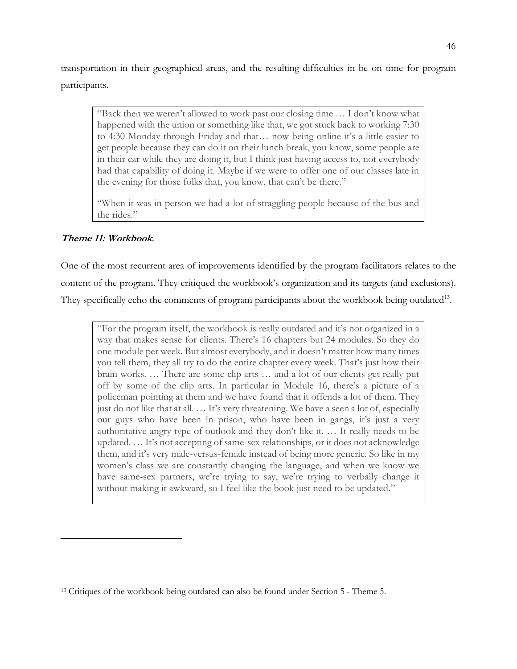transportation in their geographical areas, and the resulting difficulties in be on time for program participants.

"Back then we weren't allowed to work past our closing time … I don't know what happened with the union or something like that, we got stuck back to working 7:30 to 4:30 Monday through Friday and that… now being online it's a little easier to get people because they can do it on their lunch break, you know, some people are in their car while they are doing it, but I think just having access to, not everybody had that capability of doing it. Maybe if we were to offer one of our classes late in the evening for those folks that, you know, that can't be there."

"When it was in person we had a lot of straggling people because of the bus and the rides."

## **Theme 11: Workbook**.

One of the most recurrent area of improvements identified by the program facilitators relates to the content of the program. They critiqued the workbook's organization and its targets (and exclusions). They specifically echo the comments of program participants about the workbook being outdated<sup>13</sup>.

"For the program itself, the workbook is really outdated and it's not organized in a way that makes sense for clients. There's 16 chapters but 24 modules. So they do one module per week. But almost everybody, and it doesn't matter how many times you tell them, they all try to do the entire chapter every week. That's just how their brain works. … There are some clip arts … and a lot of our clients get really put off by some of the clip arts. In particular in Module 16, there's a picture of a policeman pointing at them and we have found that it offends a lot of them. They just do not like that at all. … It's very threatening. We have a seen a lot of, especially our guys who have been in prison, who have been in gangs, it's just a very authoritative angry type of outlook and they don't like it. … It really needs to be updated. … It's not accepting of same-sex relationships, or it does not acknowledge them, and it's very male-versus-female instead of being more generic. So like in my women's class we are constantly changing the language, and when we know we have same-sex partners, we're trying to say, we're trying to verbally change it without making it awkward, so I feel like the book just need to be updated."

<sup>13</sup> Critiques of the workbook being outdated can also be found under Section 5 - Theme 5.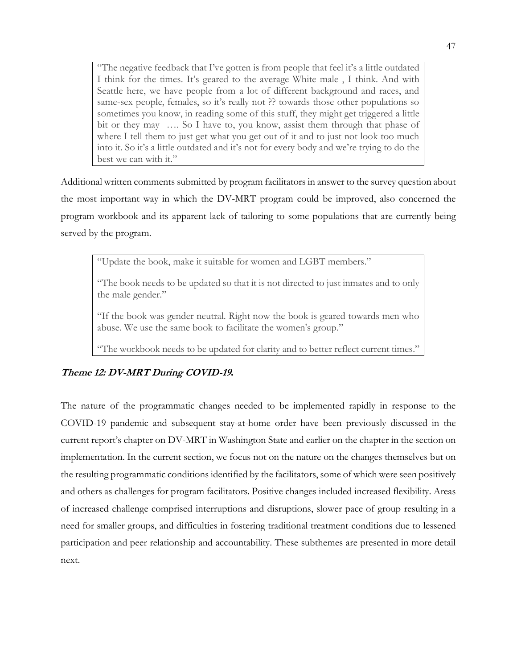"The negative feedback that I've gotten is from people that feel it's a little outdated I think for the times. It's geared to the average White male , I think. And with Seattle here, we have people from a lot of different background and races, and same-sex people, females, so it's really not ?? towards those other populations so sometimes you know, in reading some of this stuff, they might get triggered a little bit or they may …. So I have to, you know, assist them through that phase of where I tell them to just get what you get out of it and to just not look too much into it. So it's a little outdated and it's not for every body and we're trying to do the best we can with it."

Additional written comments submitted by program facilitators in answer to the survey question about the most important way in which the DV-MRT program could be improved, also concerned the program workbook and its apparent lack of tailoring to some populations that are currently being served by the program.

"Update the book, make it suitable for women and LGBT members."

"The book needs to be updated so that it is not directed to just inmates and to only the male gender."

"If the book was gender neutral. Right now the book is geared towards men who abuse. We use the same book to facilitate the women's group."

"The workbook needs to be updated for clarity and to better reflect current times."

## **Theme 12: DV-MRT During COVID-19.**

The nature of the programmatic changes needed to be implemented rapidly in response to the COVID-19 pandemic and subsequent stay-at-home order have been previously discussed in the current report's chapter on DV-MRT in Washington State and earlier on the chapter in the section on implementation. In the current section, we focus not on the nature on the changes themselves but on the resulting programmatic conditions identified by the facilitators, some of which were seen positively and others as challenges for program facilitators. Positive changes included increased flexibility. Areas of increased challenge comprised interruptions and disruptions, slower pace of group resulting in a need for smaller groups, and difficulties in fostering traditional treatment conditions due to lessened participation and peer relationship and accountability. These subthemes are presented in more detail next.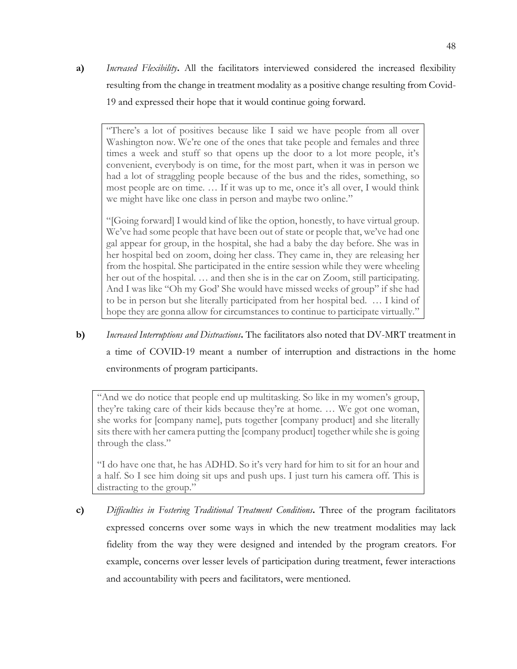**a)** *Increased Flexibility***.** All the facilitators interviewed considered the increased flexibility resulting from the change in treatment modality as a positive change resulting from Covid-19 and expressed their hope that it would continue going forward.

"There's a lot of positives because like I said we have people from all over Washington now. We're one of the ones that take people and females and three times a week and stuff so that opens up the door to a lot more people, it's convenient, everybody is on time, for the most part, when it was in person we had a lot of straggling people because of the bus and the rides, something, so most people are on time. … If it was up to me, once it's all over, I would think we might have like one class in person and maybe two online."

"[Going forward] I would kind of like the option, honestly, to have virtual group. We've had some people that have been out of state or people that, we've had one gal appear for group, in the hospital, she had a baby the day before. She was in her hospital bed on zoom, doing her class. They came in, they are releasing her from the hospital. She participated in the entire session while they were wheeling her out of the hospital. … and then she is in the car on Zoom, still participating. And I was like "Oh my God' She would have missed weeks of group" if she had to be in person but she literally participated from her hospital bed. … I kind of hope they are gonna allow for circumstances to continue to participate virtually."

**b)** *Increased Interruptions and Distractions***.** The facilitators also noted that DV-MRT treatment in a time of COVID-19 meant a number of interruption and distractions in the home environments of program participants.

"And we do notice that people end up multitasking. So like in my women's group, they're taking care of their kids because they're at home. … We got one woman, she works for [company name], puts together [company product] and she literally sits there with her camera putting the [company product] together while she is going through the class."

"I do have one that, he has ADHD. So it's very hard for him to sit for an hour and a half. So I see him doing sit ups and push ups. I just turn his camera off. This is distracting to the group."

**c)** *Difficulties in Fostering Traditional Treatment Conditions***.** Three of the program facilitators expressed concerns over some ways in which the new treatment modalities may lack fidelity from the way they were designed and intended by the program creators. For example, concerns over lesser levels of participation during treatment, fewer interactions and accountability with peers and facilitators, were mentioned.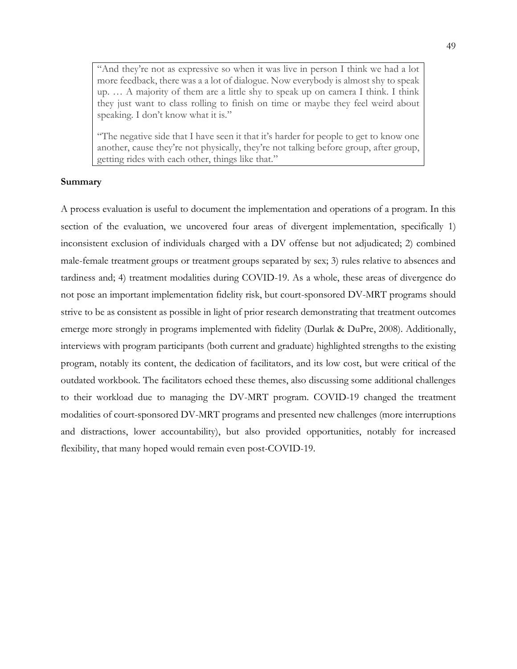"And they're not as expressive so when it was live in person I think we had a lot more feedback, there was a a lot of dialogue. Now everybody is almost shy to speak up. … A majority of them are a little shy to speak up on camera I think. I think they just want to class rolling to finish on time or maybe they feel weird about speaking. I don't know what it is."

"The negative side that I have seen it that it's harder for people to get to know one another, cause they're not physically, they're not talking before group, after group, getting rides with each other, things like that."

#### **Summary**

A process evaluation is useful to document the implementation and operations of a program. In this section of the evaluation, we uncovered four areas of divergent implementation, specifically 1) inconsistent exclusion of individuals charged with a DV offense but not adjudicated; 2) combined male-female treatment groups or treatment groups separated by sex; 3) rules relative to absences and tardiness and; 4) treatment modalities during COVID-19. As a whole, these areas of divergence do not pose an important implementation fidelity risk, but court-sponsored DV-MRT programs should strive to be as consistent as possible in light of prior research demonstrating that treatment outcomes emerge more strongly in programs implemented with fidelity (Durlak & DuPre, 2008). Additionally, interviews with program participants (both current and graduate) highlighted strengths to the existing program, notably its content, the dedication of facilitators, and its low cost, but were critical of the outdated workbook. The facilitators echoed these themes, also discussing some additional challenges to their workload due to managing the DV-MRT program. COVID-19 changed the treatment modalities of court-sponsored DV-MRT programs and presented new challenges (more interruptions and distractions, lower accountability), but also provided opportunities, notably for increased flexibility, that many hoped would remain even post-COVID-19.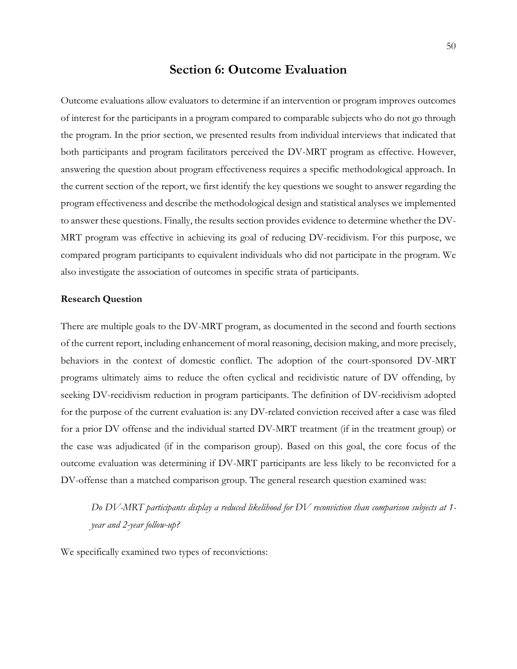## **Section 6: Outcome Evaluation**

Outcome evaluations allow evaluators to determine if an intervention or program improves outcomes of interest for the participants in a program compared to comparable subjects who do not go through the program. In the prior section, we presented results from individual interviews that indicated that both participants and program facilitators perceived the DV-MRT program as effective. However, answering the question about program effectiveness requires a specific methodological approach. In the current section of the report, we first identify the key questions we sought to answer regarding the program effectiveness and describe the methodological design and statistical analyses we implemented to answer these questions. Finally, the results section provides evidence to determine whether the DV-MRT program was effective in achieving its goal of reducing DV-recidivism. For this purpose, we compared program participants to equivalent individuals who did not participate in the program. We also investigate the association of outcomes in specific strata of participants.

#### **Research Question**

There are multiple goals to the DV-MRT program, as documented in the second and fourth sections of the current report, including enhancement of moral reasoning, decision making, and more precisely, behaviors in the context of domestic conflict. The adoption of the court-sponsored DV-MRT programs ultimately aims to reduce the often cyclical and recidivistic nature of DV offending, by seeking DV-recidivism reduction in program participants. The definition of DV-recidivism adopted for the purpose of the current evaluation is: any DV-related conviction received after a case was filed for a prior DV offense and the individual started DV-MRT treatment (if in the treatment group) or the case was adjudicated (if in the comparison group). Based on this goal, the core focus of the outcome evaluation was determining if DV-MRT participants are less likely to be reconvicted for a DV-offense than a matched comparison group. The general research question examined was:

*Do DV-MRT participants display a reduced likelihood for DV reconviction than comparison subjects at 1 year and 2-year follow-up?*

We specifically examined two types of reconvictions: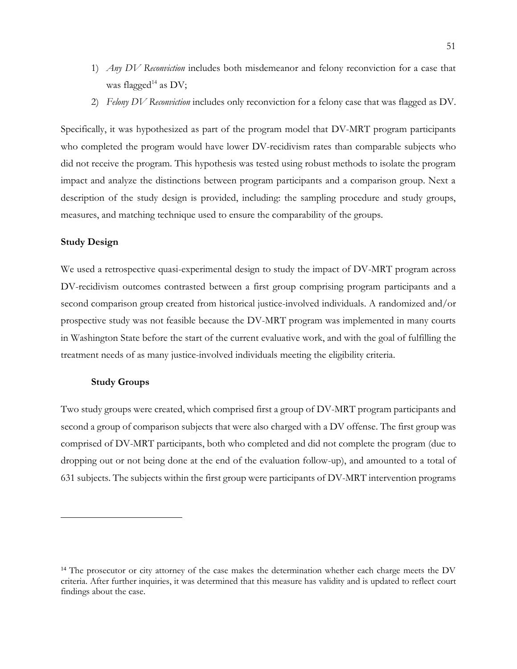- 1) *Any DV Reconviction* includes both misdemeanor and felony reconviction for a case that was flagged<sup>14</sup> as DV;
- 2) *Felony DV Reconviction* includes only reconviction for a felony case that was flagged as DV.

Specifically, it was hypothesized as part of the program model that DV-MRT program participants who completed the program would have lower DV-recidivism rates than comparable subjects who did not receive the program. This hypothesis was tested using robust methods to isolate the program impact and analyze the distinctions between program participants and a comparison group. Next a description of the study design is provided, including: the sampling procedure and study groups, measures, and matching technique used to ensure the comparability of the groups.

## **Study Design**

We used a retrospective quasi-experimental design to study the impact of DV-MRT program across DV-recidivism outcomes contrasted between a first group comprising program participants and a second comparison group created from historical justice-involved individuals. A randomized and/or prospective study was not feasible because the DV-MRT program was implemented in many courts in Washington State before the start of the current evaluative work, and with the goal of fulfilling the treatment needs of as many justice-involved individuals meeting the eligibility criteria.

#### **Study Groups**

Two study groups were created, which comprised first a group of DV-MRT program participants and second a group of comparison subjects that were also charged with a DV offense. The first group was comprised of DV-MRT participants, both who completed and did not complete the program (due to dropping out or not being done at the end of the evaluation follow-up), and amounted to a total of 631 subjects. The subjects within the first group were participants of DV-MRT intervention programs

<sup>&</sup>lt;sup>14</sup> The prosecutor or city attorney of the case makes the determination whether each charge meets the DV criteria. After further inquiries, it was determined that this measure has validity and is updated to reflect court findings about the case.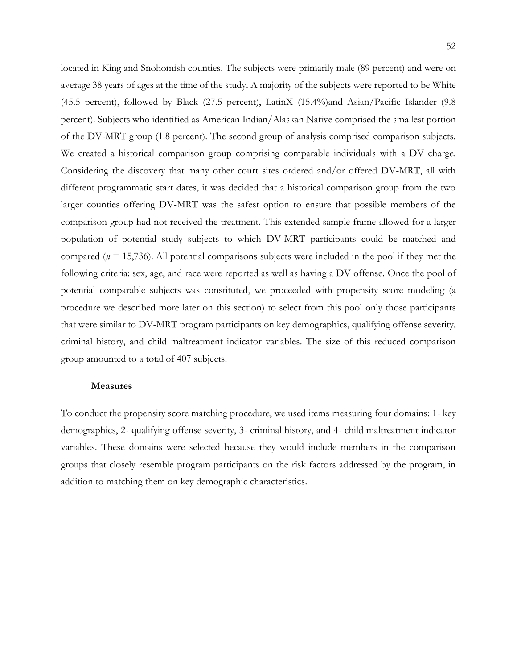located in King and Snohomish counties. The subjects were primarily male (89 percent) and were on average 38 years of ages at the time of the study. A majority of the subjects were reported to be White (45.5 percent), followed by Black (27.5 percent), LatinX (15.4%)and Asian/Pacific Islander (9.8 percent). Subjects who identified as American Indian/Alaskan Native comprised the smallest portion of the DV-MRT group (1.8 percent). The second group of analysis comprised comparison subjects. We created a historical comparison group comprising comparable individuals with a DV charge. Considering the discovery that many other court sites ordered and/or offered DV-MRT, all with different programmatic start dates, it was decided that a historical comparison group from the two larger counties offering DV-MRT was the safest option to ensure that possible members of the comparison group had not received the treatment. This extended sample frame allowed for a larger population of potential study subjects to which DV-MRT participants could be matched and compared (*n* = 15,736). All potential comparisons subjects were included in the pool if they met the following criteria: sex, age, and race were reported as well as having a DV offense. Once the pool of potential comparable subjects was constituted, we proceeded with propensity score modeling (a procedure we described more later on this section) to select from this pool only those participants that were similar to DV-MRT program participants on key demographics, qualifying offense severity, criminal history, and child maltreatment indicator variables. The size of this reduced comparison group amounted to a total of 407 subjects.

#### **Measures**

To conduct the propensity score matching procedure, we used items measuring four domains: 1- key demographics, 2- qualifying offense severity, 3- criminal history, and 4- child maltreatment indicator variables. These domains were selected because they would include members in the comparison groups that closely resemble program participants on the risk factors addressed by the program, in addition to matching them on key demographic characteristics.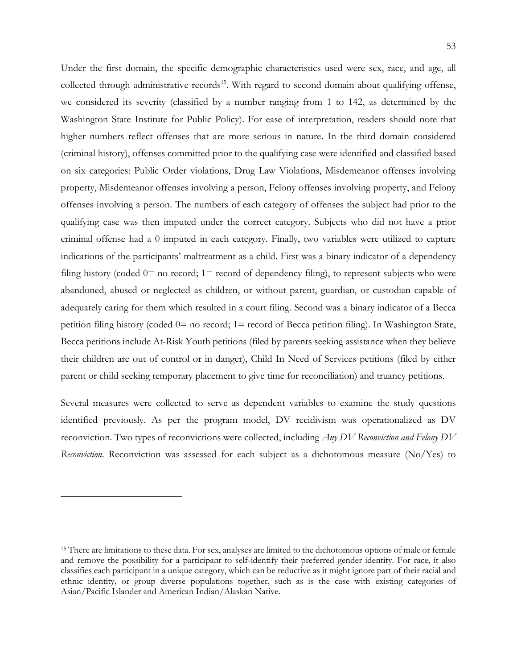Under the first domain, the specific demographic characteristics used were sex, race, and age, all collected through administrative records<sup>15</sup>. With regard to second domain about qualifying offense, we considered its severity (classified by a number ranging from 1 to 142, as determined by the Washington State Institute for Public Policy). For ease of interpretation, readers should note that higher numbers reflect offenses that are more serious in nature. In the third domain considered (criminal history), offenses committed prior to the qualifying case were identified and classified based on six categories: Public Order violations, Drug Law Violations, Misdemeanor offenses involving property, Misdemeanor offenses involving a person, Felony offenses involving property, and Felony offenses involving a person. The numbers of each category of offenses the subject had prior to the qualifying case was then imputed under the correct category. Subjects who did not have a prior criminal offense had a 0 imputed in each category. Finally, two variables were utilized to capture indications of the participants' maltreatment as a child. First was a binary indicator of a dependency filing history (coded  $0=$  no record;  $1=$  record of dependency filing), to represent subjects who were abandoned, abused or neglected as children, or without parent, guardian, or custodian capable of adequately caring for them which resulted in a court filing. Second was a binary indicator of a Becca petition filing history (coded 0= no record; 1= record of Becca petition filing). In Washington State, Becca petitions include At-Risk Youth petitions (filed by parents seeking assistance when they believe their children are out of control or in danger), Child In Need of Services petitions (filed by either parent or child seeking temporary placement to give time for reconciliation) and truancy petitions.

Several measures were collected to serve as dependent variables to examine the study questions identified previously. As per the program model, DV recidivism was operationalized as DV reconviction. Two types of reconvictions were collected, including *Any DV Reconviction and Felony DV Reconviction*. Reconviction was assessed for each subject as a dichotomous measure (No/Yes) to

<sup>&</sup>lt;sup>15</sup> There are limitations to these data. For sex, analyses are limited to the dichotomous options of male or female and remove the possibility for a participant to self-identify their preferred gender identity. For race, it also classifies each participant in a unique category, which can be reductive as it might ignore part of their racial and ethnic identity, or group diverse populations together, such as is the case with existing categories of Asian/Pacific Islander and American Indian/Alaskan Native.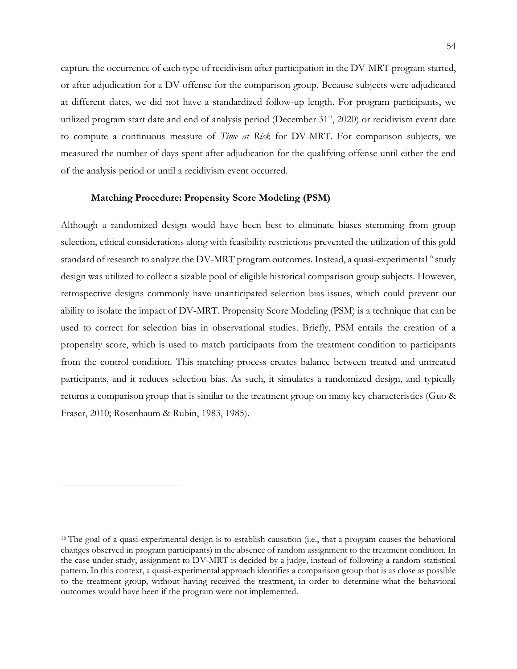capture the occurrence of each type of recidivism after participation in the DV-MRT program started, or after adjudication for a DV offense for the comparison group. Because subjects were adjudicated at different dates, we did not have a standardized follow-up length. For program participants, we utilized program start date and end of analysis period (December 31<sup>st</sup>, 2020) or recidivism event date to compute a continuous measure of *Time at Risk* for DV-MRT*.* For comparison subjects, we measured the number of days spent after adjudication for the qualifying offense until either the end of the analysis period or until a recidivism event occurred.

#### **Matching Procedure: Propensity Score Modeling (PSM)**

Although a randomized design would have been best to eliminate biases stemming from group selection, ethical considerations along with feasibility restrictions prevented the utilization of this gold standard of research to analyze the DV-MRT program outcomes. Instead, a quasi-experimental<sup>16</sup> study design was utilized to collect a sizable pool of eligible historical comparison group subjects. However, retrospective designs commonly have unanticipated selection bias issues, which could prevent our ability to isolate the impact of DV-MRT. Propensity Score Modeling (PSM) is a technique that can be used to correct for selection bias in observational studies. Briefly, PSM entails the creation of a propensity score, which is used to match participants from the treatment condition to participants from the control condition. This matching process creates balance between treated and untreated participants, and it reduces selection bias. As such, it simulates a randomized design, and typically returns a comparison group that is similar to the treatment group on many key characteristics (Guo & Fraser, 2010; Rosenbaum & Rubin, 1983, 1985).

<sup>&</sup>lt;sup>16</sup> The goal of a quasi-experimental design is to establish causation (i.e., that a program causes the behavioral changes observed in program participants) in the absence of random assignment to the treatment condition. In the case under study, assignment to DV-MRT is decided by a judge, instead of following a random statistical pattern. In this context, a quasi-experimental approach identifies a comparison group that is as close as possible to the treatment group, without having received the treatment, in order to determine what the behavioral outcomes would have been if the program were not implemented.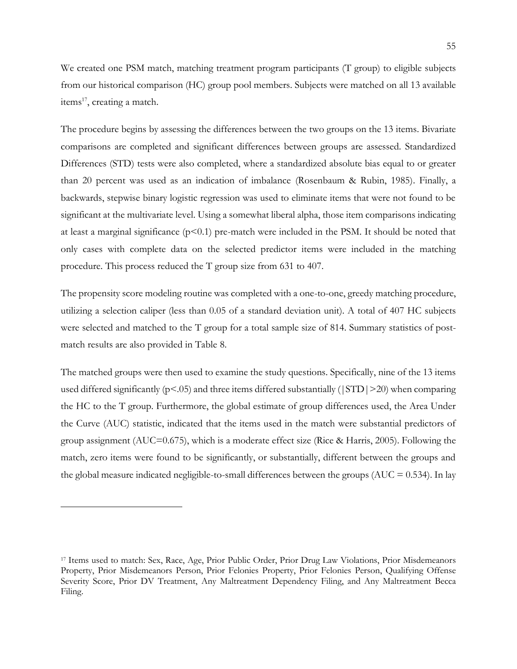We created one PSM match, matching treatment program participants (T group) to eligible subjects from our historical comparison (HC) group pool members. Subjects were matched on all 13 available items $^{17}$ , creating a match.

The procedure begins by assessing the differences between the two groups on the 13 items. Bivariate comparisons are completed and significant differences between groups are assessed. Standardized Differences (STD) tests were also completed, where a standardized absolute bias equal to or greater than 20 percent was used as an indication of imbalance (Rosenbaum & Rubin, 1985). Finally, a backwards, stepwise binary logistic regression was used to eliminate items that were not found to be significant at the multivariate level. Using a somewhat liberal alpha, those item comparisons indicating at least a marginal significance  $(p<0.1)$  pre-match were included in the PSM. It should be noted that only cases with complete data on the selected predictor items were included in the matching procedure. This process reduced the T group size from 631 to 407.

The propensity score modeling routine was completed with a one-to-one, greedy matching procedure, utilizing a selection caliper (less than 0.05 of a standard deviation unit). A total of 407 HC subjects were selected and matched to the T group for a total sample size of 814. Summary statistics of postmatch results are also provided in Table 8.

The matched groups were then used to examine the study questions. Specifically, nine of the 13 items used differed significantly ( $p<0.05$ ) and three items differed substantially ( $|STD|>20$ ) when comparing the HC to the T group. Furthermore, the global estimate of group differences used, the Area Under the Curve (AUC) statistic, indicated that the items used in the match were substantial predictors of group assignment (AUC=0.675), which is a moderate effect size (Rice & Harris, 2005). Following the match, zero items were found to be significantly, or substantially, different between the groups and the global measure indicated negligible-to-small differences between the groups ( $AUC = 0.534$ ). In lay

<sup>17</sup> Items used to match: Sex, Race, Age, Prior Public Order, Prior Drug Law Violations, Prior Misdemeanors Property, Prior Misdemeanors Person, Prior Felonies Property, Prior Felonies Person, Qualifying Offense Severity Score, Prior DV Treatment, Any Maltreatment Dependency Filing, and Any Maltreatment Becca Filing.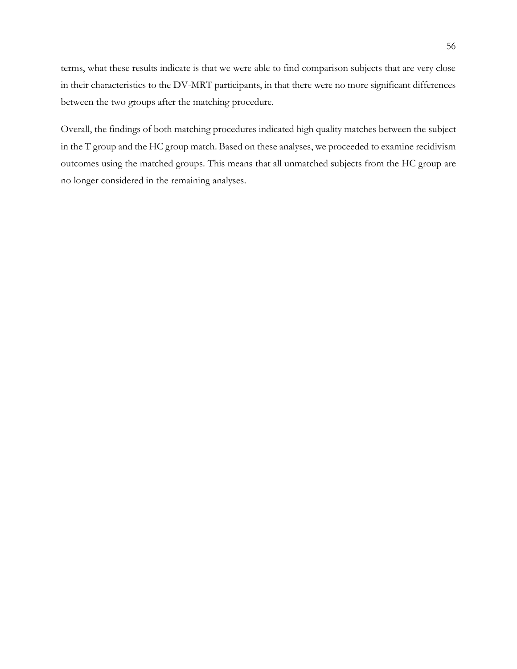terms, what these results indicate is that we were able to find comparison subjects that are very close in their characteristics to the DV-MRT participants, in that there were no more significant differences between the two groups after the matching procedure.

Overall, the findings of both matching procedures indicated high quality matches between the subject in the T group and the HC group match. Based on these analyses, we proceeded to examine recidivism outcomes using the matched groups. This means that all unmatched subjects from the HC group are no longer considered in the remaining analyses.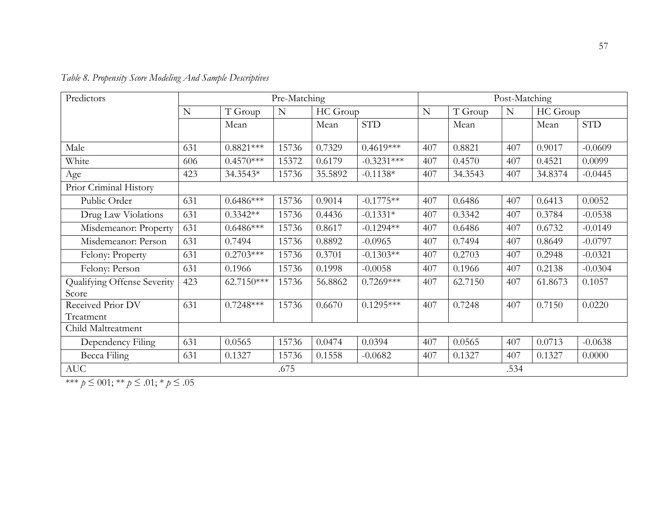| Predictors                  | Pre-Matching |                                    |       | Post-Matching |              |     |          |      |         |            |
|-----------------------------|--------------|------------------------------------|-------|---------------|--------------|-----|----------|------|---------|------------|
|                             | N            | T Group<br>HC Group<br>$\mathbf N$ |       | N             | T Group      | N   | HC Group |      |         |            |
|                             |              | Mean                               |       | Mean          | <b>STD</b>   |     | Mean     |      | Mean    | <b>STD</b> |
|                             |              |                                    |       |               |              |     |          |      |         |            |
| Male                        | 631          | $0.8821***$                        | 15736 | 0.7329        | $0.4619***$  | 407 | 0.8821   | 407  | 0.9017  | $-0.0609$  |
| White                       | 606          | $0.4570***$                        | 15372 | 0.6179        | $-0.3231***$ | 407 | 0.4570   | 407  | 0.4521  | 0.0099     |
| Age                         | 423          | 34.3543*                           | 15736 | 35.5892       | $-0.1138*$   | 407 | 34.3543  | 407  | 34.8374 | $-0.0445$  |
| Prior Criminal History      |              |                                    |       |               |              |     |          |      |         |            |
| Public Order                | 631          | $0.6486***$                        | 15736 | 0.9014        | $-0.1775**$  | 407 | 0.6486   | 407  | 0.6413  | 0.0052     |
| Drug Law Violations         | 631          | $0.3342**$                         | 15736 | 0.4436        | $-0.1331*$   | 407 | 0.3342   | 407  | 0.3784  | $-0.0538$  |
| Misdemeanor: Property       | 631          | $0.6486***$                        | 15736 | 0.8617        | $-0.1294**$  | 407 | 0.6486   | 407  | 0.6732  | $-0.0149$  |
| Misdemeanor: Person         | 631          | 0.7494                             | 15736 | 0.8892        | $-0.0965$    | 407 | 0.7494   | 407  | 0.8649  | $-0.0797$  |
| Felony: Property            | 631          | $0.2703***$                        | 15736 | 0.3701        | $-0.1303**$  | 407 | 0.2703   | 407  | 0.2948  | $-0.0321$  |
| Felony: Person              | 631          | 0.1966                             | 15736 | 0.1998        | $-0.0058$    | 407 | 0.1966   | 407  | 0.2138  | $-0.0304$  |
| Qualifying Offense Severity | 423          | 62.7150***                         | 15736 | 56.8862       | $0.7269***$  | 407 | 62.7150  | 407  | 61.8673 | 0.1057     |
| Score                       |              |                                    |       |               |              |     |          |      |         |            |
| Received Prior DV           | 631          | $0.7248***$                        | 15736 | 0.6670        | $0.1295***$  | 407 | 0.7248   | 407  | 0.7150  | 0.0220     |
| Treatment                   |              |                                    |       |               |              |     |          |      |         |            |
| Child Maltreatment          |              |                                    |       |               |              |     |          |      |         |            |
| Dependency Filing           | 631          | 0.0565                             | 15736 | 0.0474        | 0.0394       | 407 | 0.0565   | 407  | 0.0713  | $-0.0638$  |
| Becca Filing                | 631          | 0.1327                             | 15736 | 0.1558        | $-0.0682$    | 407 | 0.1327   | 407  | 0.1327  | 0.0000     |
| <b>AUC</b>                  |              |                                    | .675  |               |              |     |          | .534 |         |            |

|  |  |  | Table 8. Propensity Score Modeling And Sample Descriptives |  |
|--|--|--|------------------------------------------------------------|--|
|  |  |  |                                                            |  |

\*\*\* *p* ≤ 001; \*\* *p* ≤ .01; \* *p* ≤ .05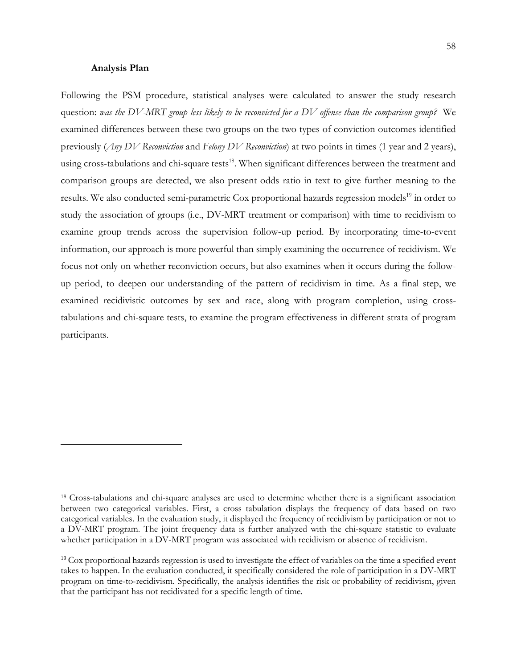#### **Analysis Plan**

Following the PSM procedure, statistical analyses were calculated to answer the study research question: *was the DV-MRT group less likely to be reconvicted for a DV offense than the comparison group?* We examined differences between these two groups on the two types of conviction outcomes identified previously (*Any DV Reconviction* and *Felony DV Reconviction*) at two points in times (1 year and 2 years), using cross-tabulations and chi-square tests<sup>18</sup>. When significant differences between the treatment and comparison groups are detected, we also present odds ratio in text to give further meaning to the results. We also conducted semi-parametric Cox proportional hazards regression models<sup>19</sup> in order to study the association of groups (i.e., DV-MRT treatment or comparison) with time to recidivism to examine group trends across the supervision follow-up period. By incorporating time-to-event information, our approach is more powerful than simply examining the occurrence of recidivism. We focus not only on whether reconviction occurs, but also examines when it occurs during the followup period, to deepen our understanding of the pattern of recidivism in time. As a final step, we examined recidivistic outcomes by sex and race, along with program completion, using crosstabulations and chi-square tests, to examine the program effectiveness in different strata of program participants.

<sup>18</sup> Cross-tabulations and chi-square analyses are used to determine whether there is a significant association between two categorical variables. First, a cross tabulation displays the frequency of data based on two categorical variables. In the evaluation study, it displayed the frequency of recidivism by participation or not to a DV-MRT program. The joint frequency data is further analyzed with the chi-square statistic to evaluate whether participation in a DV-MRT program was associated with recidivism or absence of recidivism.

<sup>&</sup>lt;sup>19</sup> Cox proportional hazards regression is used to investigate the effect of variables on the time a specified event takes to happen. In the evaluation conducted, it specifically considered the role of participation in a DV-MRT program on time-to-recidivism. Specifically, the analysis identifies the risk or probability of recidivism, given that the participant has not recidivated for a specific length of time.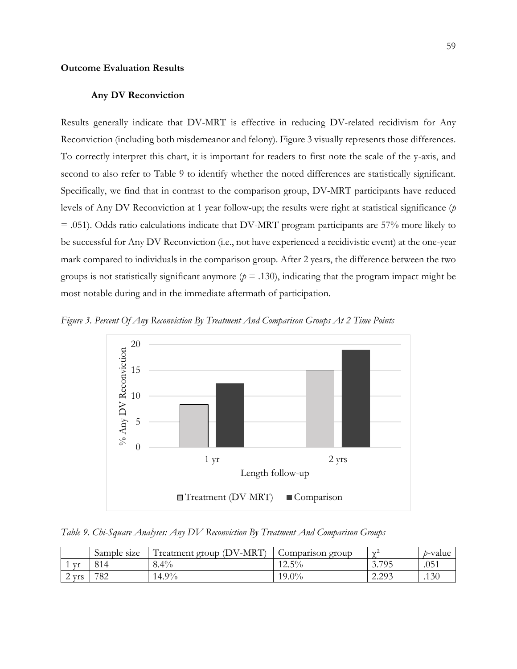### **Outcome Evaluation Results**

#### **Any DV Reconviction**

Results generally indicate that DV-MRT is effective in reducing DV-related recidivism for Any Reconviction (including both misdemeanor and felony). Figure 3 visually represents those differences. To correctly interpret this chart, it is important for readers to first note the scale of the y-axis, and second to also refer to Table 9 to identify whether the noted differences are statistically significant. Specifically, we find that in contrast to the comparison group, DV-MRT participants have reduced levels of Any DV Reconviction at 1 year follow-up; the results were right at statistical significance (*p* = .051). Odds ratio calculations indicate that DV-MRT program participants are 57% more likely to be successful for Any DV Reconviction (i.e., not have experienced a recidivistic event) at the one-year mark compared to individuals in the comparison group. After 2 years, the difference between the two groups is not statistically significant anymore ( $p = .130$ ), indicating that the program impact might be most notable during and in the immediate aftermath of participation.





*Table 9. Chi-Square Analyses: Any DV Reconviction By Treatment And Comparison Groups*

|                                        | Sample<br>size | (DV-MRT)<br>,,,<br>l reatment group ( | Comparison group | $\Delta t$       | <i>b</i> -value  |
|----------------------------------------|----------------|---------------------------------------|------------------|------------------|------------------|
| V <sup>t</sup>                         | 814            | $8.4\%$                               | $12.5\%$         | 3.795            | .051             |
| <b>Vrs</b><br>$\overline{\phantom{0}}$ | 782            | 14.9%                                 | $19.0\%$         | 2.203<br>ل ريمبر | .13 <sub>0</sub> |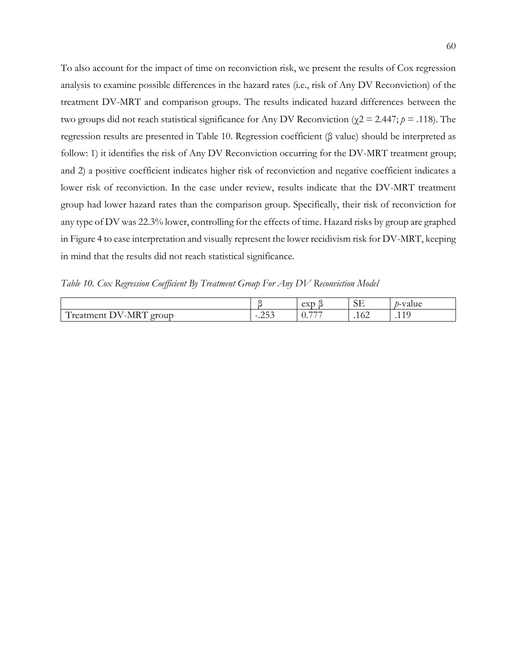To also account for the impact of time on reconviction risk, we present the results of Cox regression analysis to examine possible differences in the hazard rates (i.e., risk of Any DV Reconviction) of the treatment DV-MRT and comparison groups. The results indicated hazard differences between the two groups did not reach statistical significance for Any DV Reconviction (χ2 = 2.447; *p* = .118). The regression results are presented in Table 10. Regression coefficient (β value) should be interpreted as follow: 1) it identifies the risk of Any DV Reconviction occurring for the DV-MRT treatment group; and 2) a positive coefficient indicates higher risk of reconviction and negative coefficient indicates a lower risk of reconviction. In the case under review, results indicate that the DV-MRT treatment group had lower hazard rates than the comparison group. Specifically, their risk of reconviction for any type of DV was 22.3% lower, controlling for the effects of time. Hazard risks by group are graphed in Figure 4 to ease interpretation and visually represent the lower recidivism risk for DV-MRT, keeping in mind that the results did not reach statistical significance.

*Table 10. Cox Regression Coefficient By Treatment Group For Any DV Reconviction Model*

|                                                                                                                  |                                                     | $\Delta Vf$<br>- CAD<br>~   | $\cap$ T<br>نلان | $-1$<br>$\mathbf{1}$<br>aiuc"<br>$\cdots$ |
|------------------------------------------------------------------------------------------------------------------|-----------------------------------------------------|-----------------------------|------------------|-------------------------------------------|
| $F \rightarrow F$<br>$\overline{ }$<br>VI<br>eroup<br>atmeni<br>⊷≏∩<br>$\overline{\phantom{0}}$<br>.<br><b>-</b> | $\cap$ $\cap$<br>$\overline{\phantom{0}}$<br>$\sim$ | $-1 - 1$<br>$\mathcal{L}$ . | .104             | .<br>$\sim$                               |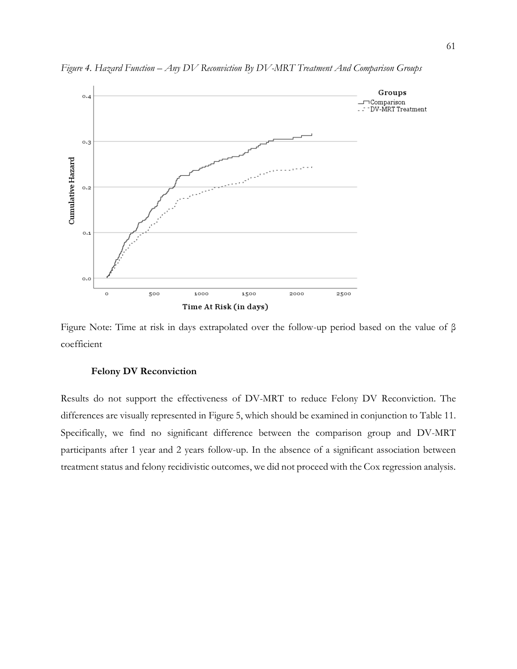

*Figure 4. Hazard Function – Any DV Reconviction By DV-MRT Treatment And Comparison Groups*

Figure Note: Time at risk in days extrapolated over the follow-up period based on the value of β coefficient

#### **Felony DV Reconviction**

Results do not support the effectiveness of DV-MRT to reduce Felony DV Reconviction. The differences are visually represented in Figure 5, which should be examined in conjunction to Table 11. Specifically, we find no significant difference between the comparison group and DV-MRT participants after 1 year and 2 years follow-up. In the absence of a significant association between treatment status and felony recidivistic outcomes, we did not proceed with the Cox regression analysis.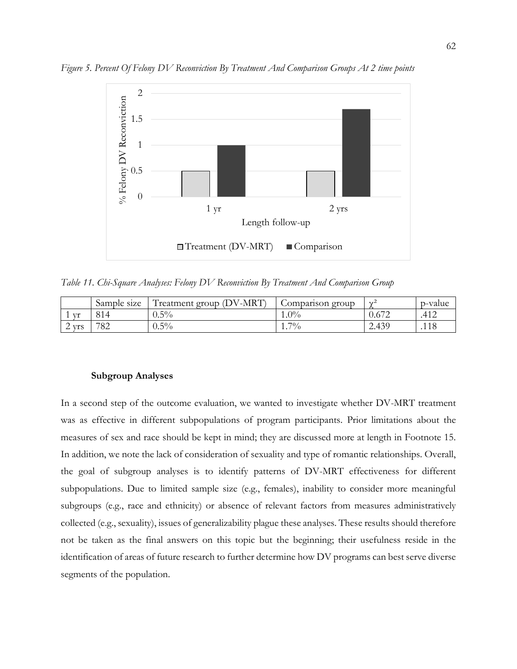

*Figure 5. Percent Of Felony DV Reconviction By Treatment And Comparison Groups At 2 time points*

*Table 11. Chi-Square Analyses: Felony DV Reconviction By Treatment And Comparison Group*

|                 | Sample<br>size | $\sqrt{-MRT}$<br>$\sqrt{ }$<br>(DV)<br>reatment group | Comparison group | $\sim$             | p-value           |
|-----------------|----------------|-------------------------------------------------------|------------------|--------------------|-------------------|
| Vr              | 814            | $5\%$<br>U.J7                                         | $1.0\%$          | $\sqrt{2}$<br>J.6/ | $41^\circ$<br>4⊤۰ |
| <b>Vrs</b><br>∸ | 782            | $0.5\%$                                               | $7\%$<br>.       | 2.439              | 11C<br>. 1 L      |

#### **Subgroup Analyses**

In a second step of the outcome evaluation, we wanted to investigate whether DV-MRT treatment was as effective in different subpopulations of program participants. Prior limitations about the measures of sex and race should be kept in mind; they are discussed more at length in Footnote 15. In addition, we note the lack of consideration of sexuality and type of romantic relationships. Overall, the goal of subgroup analyses is to identify patterns of DV-MRT effectiveness for different subpopulations. Due to limited sample size (e.g., females), inability to consider more meaningful subgroups (e.g., race and ethnicity) or absence of relevant factors from measures administratively collected (e.g., sexuality), issues of generalizability plague these analyses. These results should therefore not be taken as the final answers on this topic but the beginning; their usefulness reside in the identification of areas of future research to further determine how DV programs can best serve diverse segments of the population.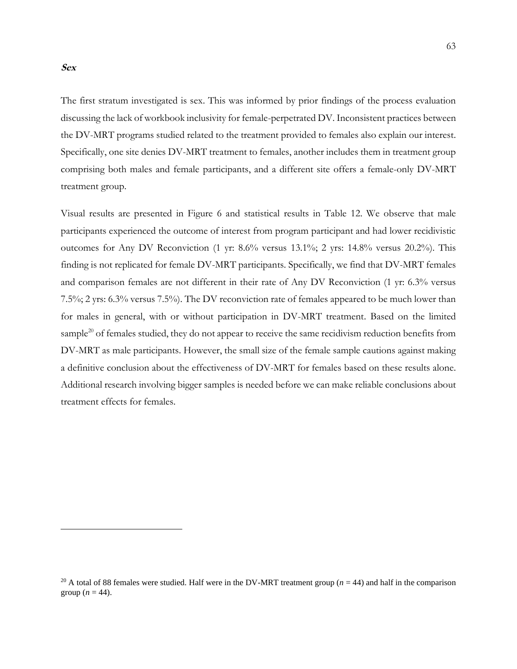#### **Sex**

The first stratum investigated is sex. This was informed by prior findings of the process evaluation discussing the lack of workbook inclusivity for female-perpetrated DV. Inconsistent practices between the DV-MRT programs studied related to the treatment provided to females also explain our interest. Specifically, one site denies DV-MRT treatment to females, another includes them in treatment group comprising both males and female participants, and a different site offers a female-only DV-MRT treatment group.

Visual results are presented in Figure 6 and statistical results in Table 12. We observe that male participants experienced the outcome of interest from program participant and had lower recidivistic outcomes for Any DV Reconviction (1 yr: 8.6% versus 13.1%; 2 yrs: 14.8% versus 20.2%). This finding is not replicated for female DV-MRT participants. Specifically, we find that DV-MRT females and comparison females are not different in their rate of Any DV Reconviction (1 yr: 6.3% versus 7.5%; 2 yrs: 6.3% versus 7.5%). The DV reconviction rate of females appeared to be much lower than for males in general, with or without participation in DV-MRT treatment. Based on the limited sample<sup>20</sup> of females studied, they do not appear to receive the same recidivism reduction benefits from DV-MRT as male participants. However, the small size of the female sample cautions against making a definitive conclusion about the effectiveness of DV-MRT for females based on these results alone. Additional research involving bigger samples is needed before we can make reliable conclusions about treatment effects for females.

<sup>&</sup>lt;sup>20</sup> A total of 88 females were studied. Half were in the DV-MRT treatment group  $(n = 44)$  and half in the comparison group  $(n = 44)$ .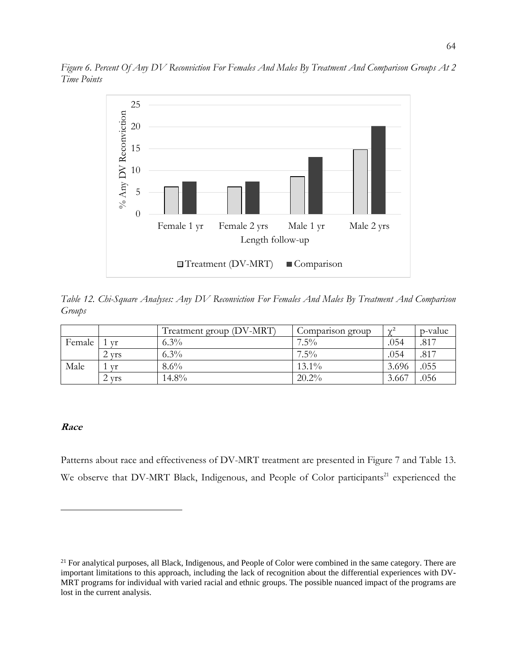

*Figure 6. Percent Of Any DV Reconviction For Females And Males By Treatment And Comparison Groups At 2 Time Points*

*Table 12. Chi-Square Analyses: Any DV Reconviction For Females And Males By Treatment And Comparison Groups*

|        |            | Treatment group (DV-MRT) | Comparison group | $\gamma^2$ | p-value |
|--------|------------|--------------------------|------------------|------------|---------|
| Female | Vf         | $6.3\%$                  | $7.5\%$          | .054       | .817    |
|        | <b>Vrs</b> | $6.3\%$                  | $7.5\%$          | .054       | .817    |
| Male   | Vr         | $8.6\%$                  | $13.1\%$         | 3.696      | .055    |
|        | <b>vrs</b> | $14.8\%$                 | $20.2\%$         | 3.667      | .056    |

## **Race**

Patterns about race and effectiveness of DV-MRT treatment are presented in Figure 7 and Table 13. We observe that DV-MRT Black, Indigenous, and People of Color participants<sup>21</sup> experienced the

<sup>&</sup>lt;sup>21</sup> For analytical purposes, all Black, Indigenous, and People of Color were combined in the same category. There are important limitations to this approach, including the lack of recognition about the differential experiences with DV-MRT programs for individual with varied racial and ethnic groups. The possible nuanced impact of the programs are lost in the current analysis.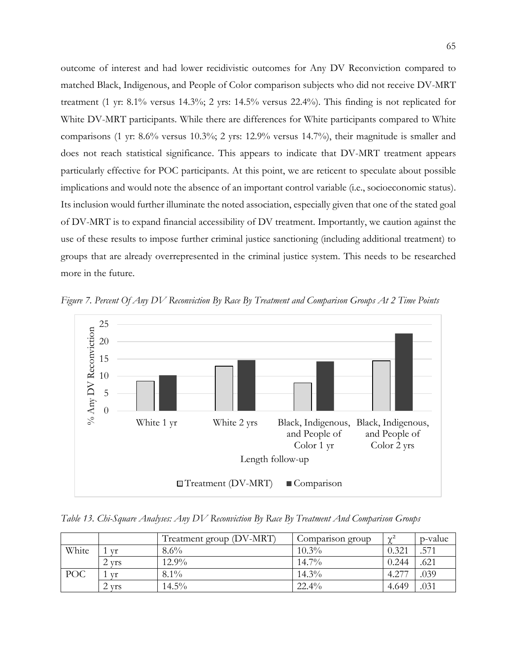outcome of interest and had lower recidivistic outcomes for Any DV Reconviction compared to matched Black, Indigenous, and People of Color comparison subjects who did not receive DV-MRT treatment (1 yr: 8.1% versus 14.3%; 2 yrs: 14.5% versus 22.4%). This finding is not replicated for White DV-MRT participants. While there are differences for White participants compared to White comparisons (1 yr: 8.6% versus 10.3%; 2 yrs: 12.9% versus 14.7%), their magnitude is smaller and does not reach statistical significance. This appears to indicate that DV-MRT treatment appears particularly effective for POC participants. At this point, we are reticent to speculate about possible implications and would note the absence of an important control variable (i.e., socioeconomic status). Its inclusion would further illuminate the noted association, especially given that one of the stated goal of DV-MRT is to expand financial accessibility of DV treatment. Importantly, we caution against the use of these results to impose further criminal justice sanctioning (including additional treatment) to groups that are already overrepresented in the criminal justice system. This needs to be researched more in the future.

*Figure 7. Percent Of Any DV Reconviction By Race By Treatment and Comparison Groups At 2 Time Points*



*Table 13. Chi-Square Analyses: Any DV Reconviction By Race By Treatment And Comparison Groups*

|            |            | Treatment group (DV-MRT) | Comparison group | $\Delta t^2$ | p-value |
|------------|------------|--------------------------|------------------|--------------|---------|
| White      | Vf         | $8.6\%$                  | $10.3\%$         | 0.321        | .571    |
|            | <b>Vrs</b> | $12.9\%$                 | $14.7\%$         | 0.244        | .621    |
| <b>POC</b> | Vr         | $8.1\%$                  | $14.3\%$         | 4.277        | .039    |
|            | 2 yrs      | $14.5\%$                 | $22.4\%$         | 4.649        | .031    |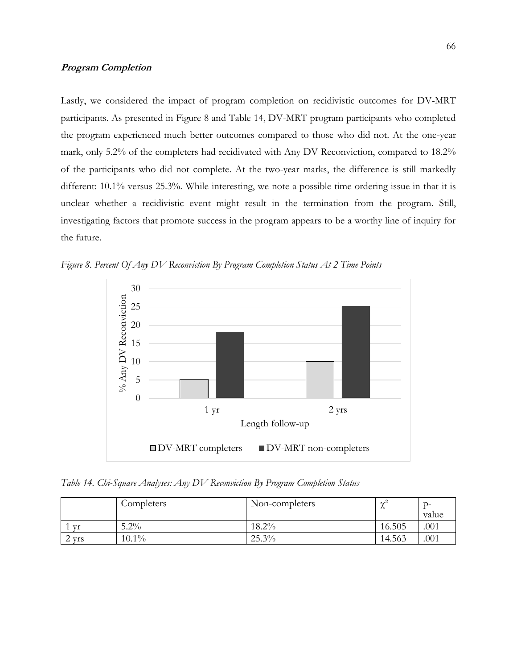## **Program Completion**

Lastly, we considered the impact of program completion on recidivistic outcomes for DV-MRT participants. As presented in Figure 8 and Table 14, DV-MRT program participants who completed the program experienced much better outcomes compared to those who did not. At the one-year mark, only 5.2% of the completers had recidivated with Any DV Reconviction, compared to 18.2% of the participants who did not complete. At the two-year marks, the difference is still markedly different: 10.1% versus 25.3%. While interesting, we note a possible time ordering issue in that it is unclear whether a recidivistic event might result in the termination from the program. Still, investigating factors that promote success in the program appears to be a worthy line of inquiry for the future.



*Figure 8. Percent Of Any DV Reconviction By Program Completion Status At 2 Time Points*

*Table 14. Chi-Square Analyses: Any DV Reconviction By Program Completion Status*

|                 | Completers | Non-completers | $\sim$<br>$\sim$ | ำ−<br>value      |
|-----------------|------------|----------------|------------------|------------------|
| Vf              | $5.2\%$    | $18.2\%$       | 16.505           | .00 <sub>1</sub> |
| <b>Vrs</b><br>∸ | $10.1\%$   | 25.3%          | 14.563           | .001             |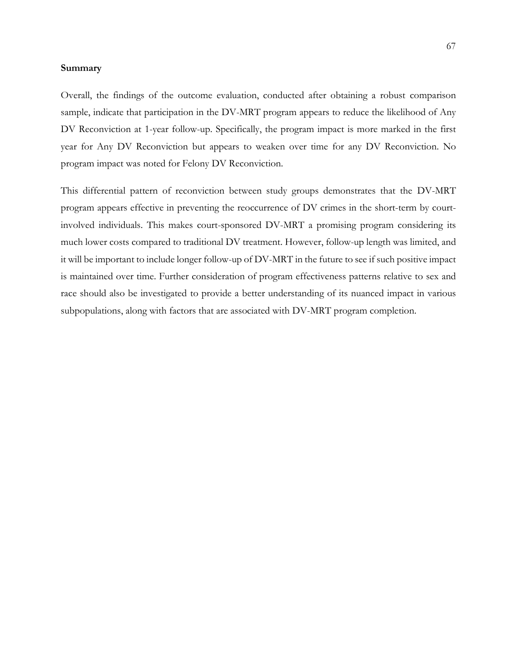#### **Summary**

Overall, the findings of the outcome evaluation, conducted after obtaining a robust comparison sample, indicate that participation in the DV-MRT program appears to reduce the likelihood of Any DV Reconviction at 1-year follow-up. Specifically, the program impact is more marked in the first year for Any DV Reconviction but appears to weaken over time for any DV Reconviction. No program impact was noted for Felony DV Reconviction.

This differential pattern of reconviction between study groups demonstrates that the DV-MRT program appears effective in preventing the reoccurrence of DV crimes in the short-term by courtinvolved individuals. This makes court-sponsored DV-MRT a promising program considering its much lower costs compared to traditional DV treatment. However, follow-up length was limited, and it will be important to include longer follow-up of DV-MRT in the future to see if such positive impact is maintained over time. Further consideration of program effectiveness patterns relative to sex and race should also be investigated to provide a better understanding of its nuanced impact in various subpopulations, along with factors that are associated with DV-MRT program completion.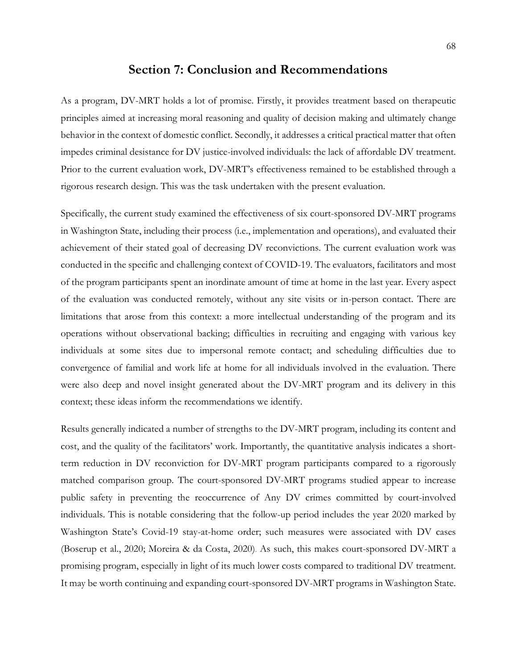## **Section 7: Conclusion and Recommendations**

As a program, DV-MRT holds a lot of promise. Firstly, it provides treatment based on therapeutic principles aimed at increasing moral reasoning and quality of decision making and ultimately change behavior in the context of domestic conflict. Secondly, it addresses a critical practical matter that often impedes criminal desistance for DV justice-involved individuals: the lack of affordable DV treatment. Prior to the current evaluation work, DV-MRT's effectiveness remained to be established through a rigorous research design. This was the task undertaken with the present evaluation.

Specifically, the current study examined the effectiveness of six court-sponsored DV-MRT programs in Washington State, including their process (i.e., implementation and operations), and evaluated their achievement of their stated goal of decreasing DV reconvictions. The current evaluation work was conducted in the specific and challenging context of COVID-19. The evaluators, facilitators and most of the program participants spent an inordinate amount of time at home in the last year. Every aspect of the evaluation was conducted remotely, without any site visits or in-person contact. There are limitations that arose from this context: a more intellectual understanding of the program and its operations without observational backing; difficulties in recruiting and engaging with various key individuals at some sites due to impersonal remote contact; and scheduling difficulties due to convergence of familial and work life at home for all individuals involved in the evaluation. There were also deep and novel insight generated about the DV-MRT program and its delivery in this context; these ideas inform the recommendations we identify.

Results generally indicated a number of strengths to the DV-MRT program, including its content and cost, and the quality of the facilitators' work. Importantly, the quantitative analysis indicates a shortterm reduction in DV reconviction for DV-MRT program participants compared to a rigorously matched comparison group. The court-sponsored DV-MRT programs studied appear to increase public safety in preventing the reoccurrence of Any DV crimes committed by court-involved individuals. This is notable considering that the follow-up period includes the year 2020 marked by Washington State's Covid-19 stay-at-home order; such measures were associated with DV cases (Boserup et al., 2020; Moreira & da Costa, 2020). As such, this makes court-sponsored DV-MRT a promising program, especially in light of its much lower costs compared to traditional DV treatment. It may be worth continuing and expanding court-sponsored DV-MRT programs in Washington State.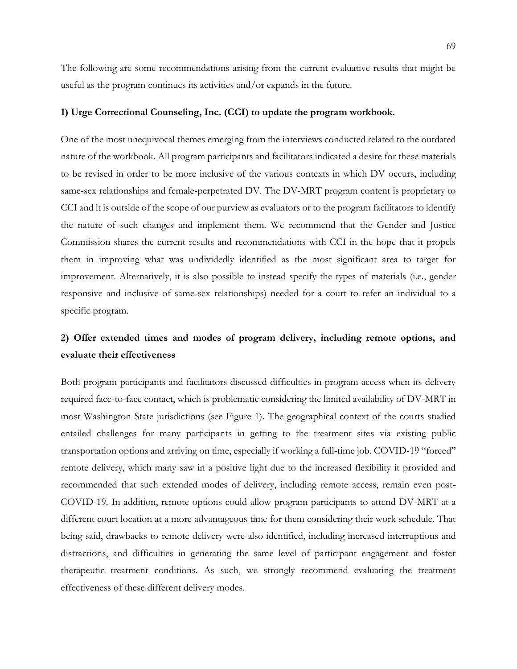The following are some recommendations arising from the current evaluative results that might be useful as the program continues its activities and/or expands in the future.

#### **1) Urge Correctional Counseling, Inc. (CCI) to update the program workbook.**

One of the most unequivocal themes emerging from the interviews conducted related to the outdated nature of the workbook. All program participants and facilitators indicated a desire for these materials to be revised in order to be more inclusive of the various contexts in which DV occurs, including same-sex relationships and female-perpetrated DV. The DV-MRT program content is proprietary to CCI and it is outside of the scope of our purview as evaluators or to the program facilitators to identify the nature of such changes and implement them. We recommend that the Gender and Justice Commission shares the current results and recommendations with CCI in the hope that it propels them in improving what was undividedly identified as the most significant area to target for improvement. Alternatively, it is also possible to instead specify the types of materials (i.e., gender responsive and inclusive of same-sex relationships) needed for a court to refer an individual to a specific program.

## **2) Offer extended times and modes of program delivery, including remote options, and evaluate their effectiveness**

Both program participants and facilitators discussed difficulties in program access when its delivery required face-to-face contact, which is problematic considering the limited availability of DV-MRT in most Washington State jurisdictions (see Figure 1). The geographical context of the courts studied entailed challenges for many participants in getting to the treatment sites via existing public transportation options and arriving on time, especially if working a full-time job. COVID-19 "forced" remote delivery, which many saw in a positive light due to the increased flexibility it provided and recommended that such extended modes of delivery, including remote access, remain even post-COVID-19. In addition, remote options could allow program participants to attend DV-MRT at a different court location at a more advantageous time for them considering their work schedule. That being said, drawbacks to remote delivery were also identified, including increased interruptions and distractions, and difficulties in generating the same level of participant engagement and foster therapeutic treatment conditions. As such, we strongly recommend evaluating the treatment effectiveness of these different delivery modes.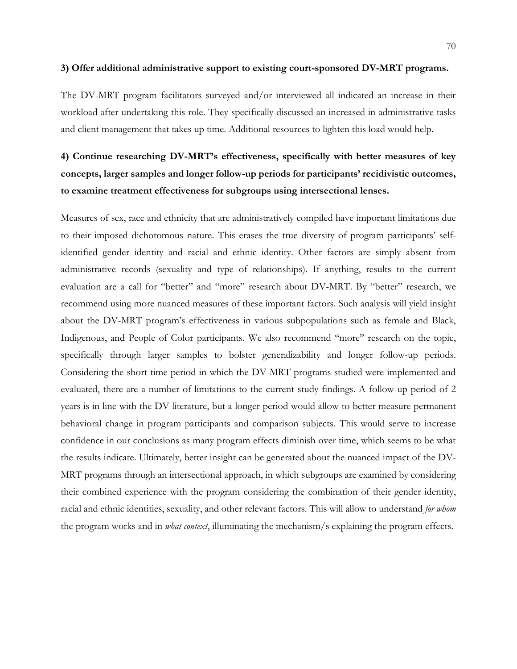#### **3) Offer additional administrative support to existing court-sponsored DV-MRT programs.**

The DV-MRT program facilitators surveyed and/or interviewed all indicated an increase in their workload after undertaking this role. They specifically discussed an increased in administrative tasks and client management that takes up time. Additional resources to lighten this load would help.

# **4) Continue researching DV-MRT's effectiveness, specifically with better measures of key concepts, larger samples and longer follow-up periods for participants' recidivistic outcomes, to examine treatment effectiveness for subgroups using intersectional lenses.**

Measures of sex, race and ethnicity that are administratively compiled have important limitations due to their imposed dichotomous nature. This erases the true diversity of program participants' selfidentified gender identity and racial and ethnic identity. Other factors are simply absent from administrative records (sexuality and type of relationships). If anything, results to the current evaluation are a call for "better" and "more" research about DV-MRT. By "better" research, we recommend using more nuanced measures of these important factors. Such analysis will yield insight about the DV-MRT program's effectiveness in various subpopulations such as female and Black, Indigenous, and People of Color participants. We also recommend "more" research on the topic, specifically through larger samples to bolster generalizability and longer follow-up periods. Considering the short time period in which the DV-MRT programs studied were implemented and evaluated, there are a number of limitations to the current study findings. A follow-up period of 2 years is in line with the DV literature, but a longer period would allow to better measure permanent behavioral change in program participants and comparison subjects. This would serve to increase confidence in our conclusions as many program effects diminish over time, which seems to be what the results indicate. Ultimately, better insight can be generated about the nuanced impact of the DV-MRT programs through an intersectional approach, in which subgroups are examined by considering their combined experience with the program considering the combination of their gender identity, racial and ethnic identities, sexuality, and other relevant factors. This will allow to understand *for whom* the program works and in *what context*, illuminating the mechanism/s explaining the program effects.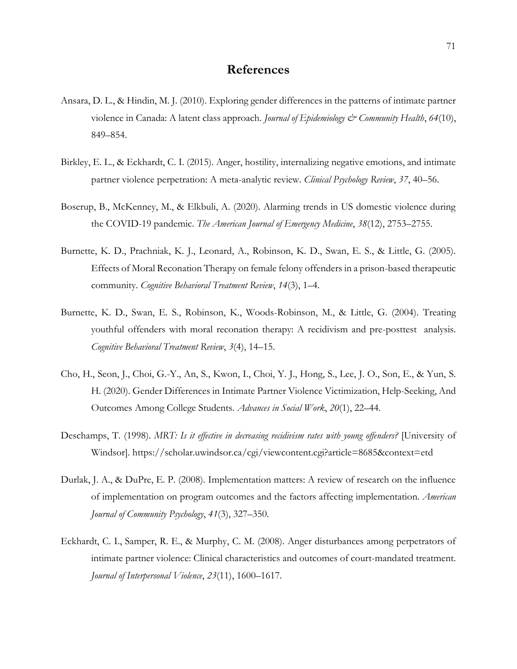## **References**

- Ansara, D. L., & Hindin, M. J. (2010). Exploring gender differences in the patterns of intimate partner violence in Canada: A latent class approach. *Journal of Epidemiology & Community Health*, *64*(10), 849–854.
- Birkley, E. L., & Eckhardt, C. I. (2015). Anger, hostility, internalizing negative emotions, and intimate partner violence perpetration: A meta-analytic review. *Clinical Psychology Review*, *37*, 40–56.
- Boserup, B., McKenney, M., & Elkbuli, A. (2020). Alarming trends in US domestic violence during the COVID-19 pandemic. *The American Journal of Emergency Medicine*, *38*(12), 2753–2755.
- Burnette, K. D., Prachniak, K. J., Leonard, A., Robinson, K. D., Swan, E. S., & Little, G. (2005). Effects of Moral Reconation Therapy on female felony offenders in a prison-based therapeutic community. *Cognitive Behavioral Treatment Review*, *14*(3), 1–4.
- Burnette, K. D., Swan, E. S., Robinson, K., Woods-Robinson, M., & Little, G. (2004). Treating youthful offenders with moral reconation therapy: A recidivism and pre-posttest analysis. *Cognitive Behavioral Treatment Review*, *3*(4), 14–15.
- Cho, H., Seon, J., Choi, G.-Y., An, S., Kwon, I., Choi, Y. J., Hong, S., Lee, J. O., Son, E., & Yun, S. H. (2020). Gender Differences in Intimate Partner Violence Victimization, Help-Seeking, And Outcomes Among College Students. *Advances in Social Work*, *20*(1), 22–44.
- Deschamps, T. (1998). *MRT: Is it effective in decreasing recidivism rates with young offenders?* [University of Windsor]. https://scholar.uwindsor.ca/cgi/viewcontent.cgi?article=8685&context=etd
- Durlak, J. A., & DuPre, E. P. (2008). Implementation matters: A review of research on the influence of implementation on program outcomes and the factors affecting implementation. *American Journal of Community Psychology*, *41*(3), 327–350.
- Eckhardt, C. I., Samper, R. E., & Murphy, C. M. (2008). Anger disturbances among perpetrators of intimate partner violence: Clinical characteristics and outcomes of court-mandated treatment. *Journal of Interpersonal Violence*, *23*(11), 1600–1617.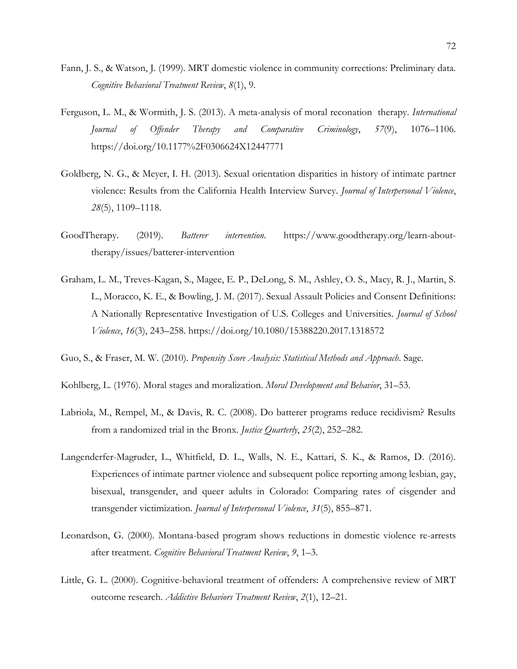- Fann, J. S., & Watson, J. (1999). MRT domestic violence in community corrections: Preliminary data. *Cognitive Behavioral Treatment Review*, *8*(1), 9.
- Ferguson, L. M., & Wormith, J. S. (2013). A meta-analysis of moral reconation therapy. *International Journal of Offender Therapy and Comparative Criminology*, *57*(9), 1076–1106. https://doi.org/10.1177%2F0306624X12447771
- Goldberg, N. G., & Meyer, I. H. (2013). Sexual orientation disparities in history of intimate partner violence: Results from the California Health Interview Survey. *Journal of Interpersonal Violence*, *28*(5), 1109–1118.
- GoodTherapy. (2019). *Batterer intervention*. https://www.goodtherapy.org/learn-abouttherapy/issues/batterer-intervention
- Graham, L. M., Treves-Kagan, S., Magee, E. P., DeLong, S. M., Ashley, O. S., Macy, R. J., Martin, S. L., Moracco, K. E., & Bowling, J. M. (2017). Sexual Assault Policies and Consent Definitions: A Nationally Representative Investigation of U.S. Colleges and Universities. *Journal of School Violence*, *16*(3), 243–258. https://doi.org/10.1080/15388220.2017.1318572
- Guo, S., & Fraser, M. W. (2010). *Propensity Score Analysis: Statistical Methods and Approach*. Sage.
- Kohlberg, L. (1976). Moral stages and moralization. *Moral Development and Behavior*, 31–53.
- Labriola, M., Rempel, M., & Davis, R. C. (2008). Do batterer programs reduce recidivism? Results from a randomized trial in the Bronx. *Justice Quarterly*, *25*(2), 252–282.
- Langenderfer-Magruder, L., Whitfield, D. L., Walls, N. E., Kattari, S. K., & Ramos, D. (2016). Experiences of intimate partner violence and subsequent police reporting among lesbian, gay, bisexual, transgender, and queer adults in Colorado: Comparing rates of cisgender and transgender victimization. *Journal of Interpersonal Violence*, *31*(5), 855–871.
- Leonardson, G. (2000). Montana-based program shows reductions in domestic violence re-arrests after treatment. *Cognitive Behavioral Treatment Review*, *9*, 1–3.
- Little, G. L. (2000). Cognitive-behavioral treatment of offenders: A comprehensive review of MRT outcome research. *Addictive Behaviors Treatment Review*, *2*(1), 12–21.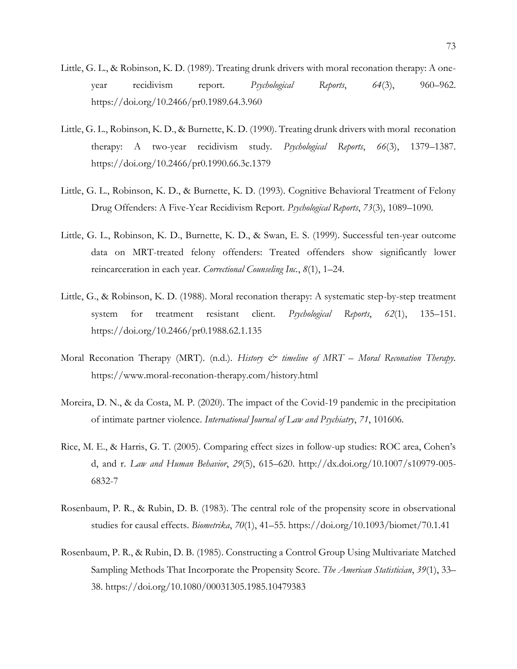- Little, G. L., & Robinson, K. D. (1989). Treating drunk drivers with moral reconation therapy: A oneyear recidivism report. *Psychological Reports*, *64*(3), 960–962. https://doi.org/10.2466/pr0.1989.64.3.960
- Little, G. L., Robinson, K. D., & Burnette, K. D. (1990). Treating drunk drivers with moral reconation therapy: A two-year recidivism study. *Psychological Reports*, *66*(3), 1379–1387. https://doi.org/10.2466/pr0.1990.66.3c.1379
- Little, G. L., Robinson, K. D., & Burnette, K. D. (1993). Cognitive Behavioral Treatment of Felony Drug Offenders: A Five-Year Recidivism Report. *Psychological Reports*, *73*(3), 1089–1090.
- Little, G. L., Robinson, K. D., Burnette, K. D., & Swan, E. S. (1999). Successful ten-year outcome data on MRT-treated felony offenders: Treated offenders show significantly lower reincarceration in each year. *Correctional Counseling Inc.*, *8*(1), 1–24.
- Little, G., & Robinson, K. D. (1988). Moral reconation therapy: A systematic step-by-step treatment system for treatment resistant client. *Psychological Reports*, *62*(1), 135–151. https://doi.org/10.2466/pr0.1988.62.1.135
- Moral Reconation Therapy (MRT). (n.d.). *History*  $\mathcal{Q}^*$  *timeline of MRT Moral Reconation Therapy.* https://www.moral-reconation-therapy.com/history.html
- Moreira, D. N., & da Costa, M. P. (2020). The impact of the Covid-19 pandemic in the precipitation of intimate partner violence. *International Journal of Law and Psychiatry*, *71*, 101606.
- Rice, M. E., & Harris, G. T. (2005). Comparing effect sizes in follow-up studies: ROC area, Cohen's d, and r. *Law and Human Behavior*, *29*(5), 615–620. http://dx.doi.org/10.1007/s10979-005- 6832-7
- Rosenbaum, P. R., & Rubin, D. B. (1983). The central role of the propensity score in observational studies for causal effects. *Biometrika*, *70*(1), 41–55. https://doi.org/10.1093/biomet/70.1.41
- Rosenbaum, P. R., & Rubin, D. B. (1985). Constructing a Control Group Using Multivariate Matched Sampling Methods That Incorporate the Propensity Score. *The American Statistician*, *39*(1), 33– 38. https://doi.org/10.1080/00031305.1985.10479383